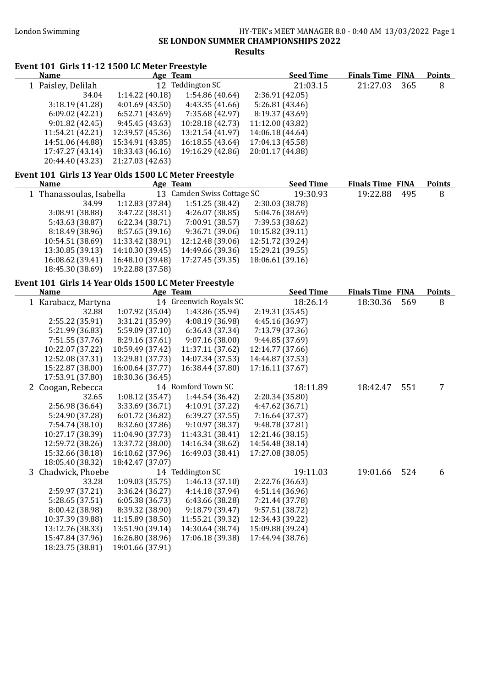#### London Swimming HY-TEK's MEET MANAGER 8.0 - 0:40 AM 13/03/2022 Page 1 SE LONDON SUMMER CHAMPIONSHIPS 2022 Results

#### Event 101 Girls 11-12 1500 LC Meter Freestyle<br>Name Age Team Age Team Seed Time Finals Time FINA Points<br>12 Teddington SC 21:03.15 21:27.03 365 8 1 Paisley, Delilah 12 Teddington SC 21:03.15 21:27.03 365 8<br>34.04 1:14.22 (40.18) 1:54.86 (40.64) 2:36.91 (42.05)  $34.04$  1:14.22 (40.18)<br>3:18.19 (41.28) 4:01.69 (43.50)  $3:169$  (43.50)  $4:43.35$  (41.66)  $5:26.81$  (43.46)<br>6:52.71 (43.69) 7:35.68 (42.97)  $8:19.37$  (43.69) 6:09.02 (42.21) 6:52.71 (43.69) 7:35.68 (42.97) 8:19.37 (43.69) 9:01.82 (42.45) 9:45.45 (43.63) 10:28.18 (42.73) 11:12.00 (43.82) 11:54.21 (42.21) 12:39.57 (45.36) 13:21.54 (41.97) 14:06.18 (44.64) 14:51.06 (44.88) 15:34.91 (43.85) 16:18.55 (43.64) 17:04.13 (45.58) 17:47.27 (43.14) 18:33.43 (46.16) 19:16.29 (42.86) 20:01.17 (44.88) 20:44.40 (43.23) 21:27.03 (42.63)

#### Event 101 Girls 13 Year Olds 1500 LC Meter Freestyle

| <b>Name</b>              | Age Team         |                            |                  | <b>Seed Time</b> | <b>Finals Time FINA</b> |     | <b>Points</b> |
|--------------------------|------------------|----------------------------|------------------|------------------|-------------------------|-----|---------------|
| 1 Thanassoulas, Isabella |                  | 13 Camden Swiss Cottage SC |                  | 19:30.93         | 19:22.88                | 495 | 8             |
| 34.99                    | 1:12.83(37.84)   | 1:51.25(38.42)             | 2:30.03 (38.78)  |                  |                         |     |               |
| 3:08.91(38.88)           | 3:47.22(38.31)   | 4:26.07(38.85)             | 5:04.76 (38.69)  |                  |                         |     |               |
| 5:43.63 (38.87)          | 6:22.34(38.71)   | 7:00.91 (38.57)            | 7:39.53 (38.62)  |                  |                         |     |               |
| 8:18.49(38.96)           | 8:57.65(39.16)   | 9:36.71(39.06)             | 10:15.82 (39.11) |                  |                         |     |               |
| 10:54.51 (38.69)         | 11:33.42 (38.91) | 12:12.48 (39.06)           | 12:51.72 (39.24) |                  |                         |     |               |
| 13:30.85 (39.13)         | 14:10.30 (39.45) | 14:49.66 (39.36)           | 15:29.21 (39.55) |                  |                         |     |               |
| 16:08.62 (39.41)         | 16:48.10 (39.48) | 17:27.45 (39.35)           | 18:06.61 (39.16) |                  |                         |     |               |
| 18:45.30 (38.69)         | 19:22.88 (37.58) |                            |                  |                  |                         |     |               |

#### Event 101 Girls 14 Year Olds 1500 LC Meter Freestyle

| <b>Name</b>         |                  | Age Team               | <b>Seed Time</b> | <b>Finals Time FINA</b> |     | <b>Points</b> |
|---------------------|------------------|------------------------|------------------|-------------------------|-----|---------------|
| 1 Karabacz, Martyna |                  | 14 Greenwich Royals SC | 18:26.14         | 18:30.36                | 569 | 8             |
| 32.88               | 1:07.92(35.04)   | 1:43.86 (35.94)        | 2:19.31(35.45)   |                         |     |               |
| 2:55.22 (35.91)     | 3:31.21 (35.99)  | 4:08.19 (36.98)        | 4:45.16 (36.97)  |                         |     |               |
| 5:21.99 (36.83)     | 5:59.09 (37.10)  | 6:36.43 (37.34)        | 7:13.79 (37.36)  |                         |     |               |
| 7:51.55 (37.76)     | 8:29.16 (37.61)  | 9:07.16(38.00)         | 9:44.85 (37.69)  |                         |     |               |
| 10:22.07 (37.22)    | 10:59.49 (37.42) | 11:37.11 (37.62)       | 12:14.77 (37.66) |                         |     |               |
| 12:52.08 (37.31)    | 13:29.81 (37.73) | 14:07.34 (37.53)       | 14:44.87 (37.53) |                         |     |               |
| 15:22.87 (38.00)    | 16:00.64 (37.77) | 16:38.44 (37.80)       | 17:16.11 (37.67) |                         |     |               |
| 17:53.91 (37.80)    | 18:30.36 (36.45) |                        |                  |                         |     |               |
| 2 Coogan, Rebecca   |                  | 14 Romford Town SC     | 18:11.89         | 18:42.47                | 551 | 7             |
| 32.65               | 1:08.12(35.47)   | 1:44.54(36.42)         | 2:20.34 (35.80)  |                         |     |               |
| 2:56.98 (36.64)     | 3:33.69 (36.71)  | 4:10.91 (37.22)        | 4:47.62 (36.71)  |                         |     |               |
| 5:24.90 (37.28)     | 6:01.72(36.82)   | 6:39.27(37.55)         | 7:16.64 (37.37)  |                         |     |               |
| 7:54.74 (38.10)     | 8:32.60 (37.86)  | 9:10.97(38.37)         | 9:48.78 (37.81)  |                         |     |               |
| 10:27.17 (38.39)    | 11:04.90 (37.73) | 11:43.31 (38.41)       | 12:21.46 (38.15) |                         |     |               |
| 12:59.72 (38.26)    | 13:37.72 (38.00) | 14:16.34 (38.62)       | 14:54.48 (38.14) |                         |     |               |
| 15:32.66 (38.18)    | 16:10.62 (37.96) | 16:49.03 (38.41)       | 17:27.08 (38.05) |                         |     |               |
| 18:05.40 (38.32)    | 18:42.47 (37.07) |                        |                  |                         |     |               |
| 3 Chadwick, Phoebe  |                  | 14 Teddington SC       | 19:11.03         | 19:01.66                | 524 | 6             |
| 33.28               | 1:09.03(35.75)   | 1:46.13(37.10)         | 2:22.76 (36.63)  |                         |     |               |
| 2:59.97 (37.21)     | 3:36.24 (36.27)  | 4:14.18 (37.94)        | 4:51.14 (36.96)  |                         |     |               |
| 5:28.65 (37.51)     | 6:05.38(36.73)   | 6:43.66 (38.28)        | 7:21.44 (37.78)  |                         |     |               |
| 8:00.42 (38.98)     | 8:39.32 (38.90)  | 9:18.79(39.47)         | 9:57.51(38.72)   |                         |     |               |
| 10:37.39 (39.88)    | 11:15.89 (38.50) | 11:55.21 (39.32)       | 12:34.43 (39.22) |                         |     |               |
| 13:12.76 (38.33)    | 13:51.90 (39.14) | 14:30.64 (38.74)       | 15:09.88 (39.24) |                         |     |               |
| 15:47.84 (37.96)    | 16:26.80 (38.96) | 17:06.18 (39.38)       | 17:44.94 (38.76) |                         |     |               |
| 18:23.75 (38.81)    | 19:01.66 (37.91) |                        |                  |                         |     |               |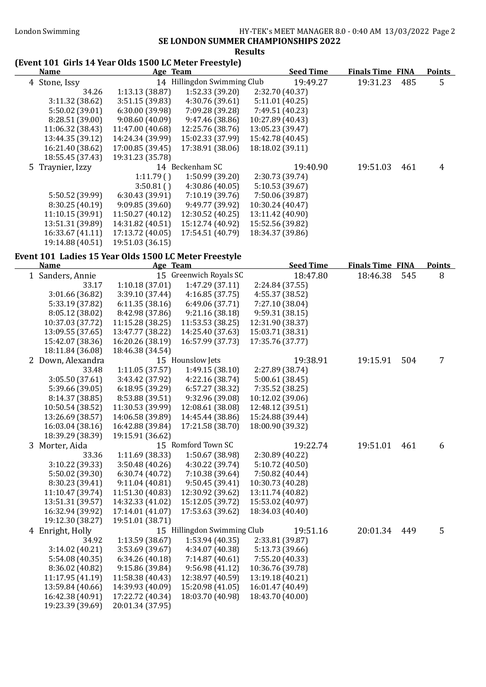### London Swimming HY-TEK's MEET MANAGER 8.0 - 0:40 AM 13/03/2022 Page 2

### SE LONDON SUMMER CHAMPIONSHIPS 2022

#### Results

#### (Event 101 Girls 14 Year Olds 1500 LC Meter Freestyle)

| (EVEIIL IUI GILIS 14 IEAL UIUS 1500 LC METEL FLEESLYIE)<br><u>Name</u> | Age Team                         |                                   | <b>Seed Time</b>                    | <b>Finals Time FINA</b> |     | <b>Points</b> |
|------------------------------------------------------------------------|----------------------------------|-----------------------------------|-------------------------------------|-------------------------|-----|---------------|
| 4 Stone, Issy                                                          |                                  | 14 Hillingdon Swimming Club       | 19:49.27                            | 19:31.23                | 485 | 5             |
| 34.26                                                                  | 1:13.13 (38.87)                  | 1:52.33 (39.20)                   | 2:32.70 (40.37)                     |                         |     |               |
| 3:11.32 (38.62)                                                        | 3:51.15 (39.83)                  | 4:30.76 (39.61)                   | 5:11.01(40.25)                      |                         |     |               |
| 5:50.02 (39.01)                                                        | 6:30.00 (39.98)                  | 7:09.28 (39.28)                   | 7:49.51 (40.23)                     |                         |     |               |
| 8:28.51 (39.00)                                                        | 9:08.60(40.09)                   | 9:47.46 (38.86)                   | 10:27.89 (40.43)                    |                         |     |               |
| 11:06.32 (38.43)                                                       | 11:47.00 (40.68)                 | 12:25.76 (38.76)                  | 13:05.23 (39.47)                    |                         |     |               |
| 13:44.35 (39.12)                                                       | 14:24.34 (39.99)                 | 15:02.33 (37.99)                  | 15:42.78 (40.45)                    |                         |     |               |
| 16:21.40 (38.62)                                                       | 17:00.85 (39.45)                 | 17:38.91 (38.06)                  | 18:18.02 (39.11)                    |                         |     |               |
| 18:55.45 (37.43)                                                       | 19:31.23 (35.78)                 |                                   |                                     |                         |     |               |
| 5 Traynier, Izzy                                                       |                                  | 14 Beckenham SC                   | 19:40.90                            | 19:51.03                | 461 | 4             |
|                                                                        | 1:11.79()                        | 1:50.99 (39.20)                   | 2:30.73 (39.74)                     |                         |     |               |
|                                                                        | 3:50.81()                        | 4:30.86 (40.05)                   | 5:10.53 (39.67)                     |                         |     |               |
| 5:50.52 (39.99)                                                        | 6:30.43 (39.91)                  | 7:10.19 (39.76)                   | 7:50.06 (39.87)                     |                         |     |               |
| 8:30.25 (40.19)                                                        | 9:09.85 (39.60)                  | 9:49.77 (39.92)                   | 10:30.24 (40.47)                    |                         |     |               |
| 11:10.15 (39.91)                                                       | 11:50.27 (40.12)                 | 12:30.52 (40.25)                  | 13:11.42 (40.90)                    |                         |     |               |
| 13:51.31 (39.89)                                                       | 14:31.82 (40.51)                 | 15:12.74 (40.92)                  | 15:52.56 (39.82)                    |                         |     |               |
| 16:33.67 (41.11)                                                       | 17:13.72 (40.05)                 | 17:54.51 (40.79)                  | 18:34.37 (39.86)                    |                         |     |               |
| 19:14.88 (40.51)                                                       | 19:51.03 (36.15)                 |                                   |                                     |                         |     |               |
| Event 101 Ladies 15 Year Olds 1500 LC Meter Freestyle                  |                                  |                                   |                                     |                         |     |               |
| <b>Name</b>                                                            | Age Team                         |                                   | <b>Seed Time</b>                    | <b>Finals Time FINA</b> |     | <b>Points</b> |
| 1 Sanders, Annie                                                       |                                  | 15 Greenwich Royals SC            | 18:47.80                            | 18:46.38                | 545 | 8             |
| 33.17                                                                  | 1:10.18(37.01)                   | 1:47.29(37.11)                    | 2:24.84 (37.55)                     |                         |     |               |
| 3:01.66 (36.82)                                                        | 3:39.10 (37.44)                  | 4:16.85(37.75)                    | 4:55.37 (38.52)                     |                         |     |               |
| 5:33.19 (37.82)                                                        | 6:11.35(38.16)                   | 6:49.06 (37.71)                   | 7:27.10 (38.04)                     |                         |     |               |
| 8:05.12 (38.02)                                                        | 8:42.98 (37.86)                  | 9:21.16 (38.18)                   | 9:59.31 (38.15)                     |                         |     |               |
| 10:37.03 (37.72)                                                       | 11:15.28 (38.25)                 | 11:53.53 (38.25)                  | 12:31.90 (38.37)                    |                         |     |               |
| 13:09.55 (37.65)                                                       | 13:47.77 (38.22)                 | 14:25.40 (37.63)                  | 15:03.71 (38.31)                    |                         |     |               |
| 15:42.07 (38.36)                                                       | 16:20.26 (38.19)                 | 16:57.99 (37.73)                  | 17:35.76 (37.77)                    |                         |     |               |
| 18:11.84 (36.08)                                                       | 18:46.38 (34.54)                 |                                   |                                     |                         |     |               |
| 2 Down, Alexandra                                                      |                                  | 15 Hounslow Jets                  | 19:38.91                            | 19:15.91                | 504 | 7             |
| 33.48                                                                  | 1:11.05(37.57)                   | 1:49.15(38.10)                    | 2:27.89 (38.74)                     |                         |     |               |
| 3:05.50 (37.61)                                                        | 3:43.42 (37.92)                  | 4:22.16 (38.74)                   | 5:00.61 (38.45)                     |                         |     |               |
| 5:39.66 (39.05)                                                        | 6:18.95(39.29)                   | 6:57.27 (38.32)                   | 7:35.52 (38.25)                     |                         |     |               |
| 8:14.37 (38.85)                                                        | 8:53.88 (39.51)                  | 9:32.96 (39.08)                   | 10:12.02 (39.06)                    |                         |     |               |
| 10:50.54 (38.52)                                                       | 11:30.53 (39.99)                 | 12:08.61 (38.08)                  | 12:48.12 (39.51)                    |                         |     |               |
| 13:26.69 (38.57)                                                       | 14:06.58 (39.89)                 | 14:45.44 (38.86)                  | 15:24.88 (39.44)                    |                         |     |               |
| 16:03.04 (38.16)                                                       | 16:42.88 (39.84)                 | 17:21.58 (38.70)                  | 18:00.90 (39.32)                    |                         |     |               |
| 18:39.29 (38.39)                                                       | 19:15.91 (36.62)                 |                                   |                                     |                         |     |               |
| 3 Morter, Aida                                                         |                                  | 15 Romford Town SC                | 19:22.74                            | 19:51.01                | 461 | 6             |
| 33.36                                                                  | 1:11.69 (38.33)                  | 1:50.67 (38.98)                   | 2:30.89 (40.22)                     |                         |     |               |
| 3:10.22 (39.33)                                                        | 3:50.48 (40.26)                  | 4:30.22 (39.74)                   | 5:10.72 (40.50)                     |                         |     |               |
| 5:50.02 (39.30)<br>8:30.23 (39.41)                                     | 6:30.74(40.72)<br>9:11.04(40.81) | 7:10.38 (39.64)<br>9:50.45(39.41) | 7:50.82 (40.44)<br>10:30.73 (40.28) |                         |     |               |
| 11:10.47 (39.74)                                                       | 11:51.30 (40.83)                 | 12:30.92 (39.62)                  | 13:11.74 (40.82)                    |                         |     |               |
| 13:51.31 (39.57)                                                       | 14:32.33 (41.02)                 | 15:12.05 (39.72)                  | 15:53.02 (40.97)                    |                         |     |               |
| 16:32.94 (39.92)                                                       | 17:14.01 (41.07)                 | 17:53.63 (39.62)                  | 18:34.03 (40.40)                    |                         |     |               |
| 19:12.30 (38.27)                                                       | 19:51.01 (38.71)                 |                                   |                                     |                         |     |               |
| 4 Enright, Holly                                                       |                                  | 15 Hillingdon Swimming Club       | 19:51.16                            | 20:01.34                | 449 | 5             |
| 34.92                                                                  | 1:13.59 (38.67)                  | 1:53.94 (40.35)                   | 2:33.81 (39.87)                     |                         |     |               |
| 3:14.02 (40.21)                                                        | 3:53.69 (39.67)                  | 4:34.07 (40.38)                   | 5:13.73 (39.66)                     |                         |     |               |
| 5:54.08 (40.35)                                                        | 6:34.26(40.18)                   | 7:14.87(40.61)                    | 7:55.20 (40.33)                     |                         |     |               |
| 8:36.02 (40.82)                                                        | 9:15.86 (39.84)                  | 9:56.98(41.12)                    | 10:36.76 (39.78)                    |                         |     |               |
| 11:17.95 (41.19)                                                       | 11:58.38 (40.43)                 | 12:38.97 (40.59)                  | 13:19.18 (40.21)                    |                         |     |               |
| 13:59.84 (40.66)                                                       | 14:39.93 (40.09)                 | 15:20.98 (41.05)                  | 16:01.47 (40.49)                    |                         |     |               |
| 16:42.38 (40.91)                                                       | 17:22.72 (40.34)                 | 18:03.70 (40.98)                  | 18:43.70 (40.00)                    |                         |     |               |
| 19:23.39 (39.69)                                                       | 20:01.34 (37.95)                 |                                   |                                     |                         |     |               |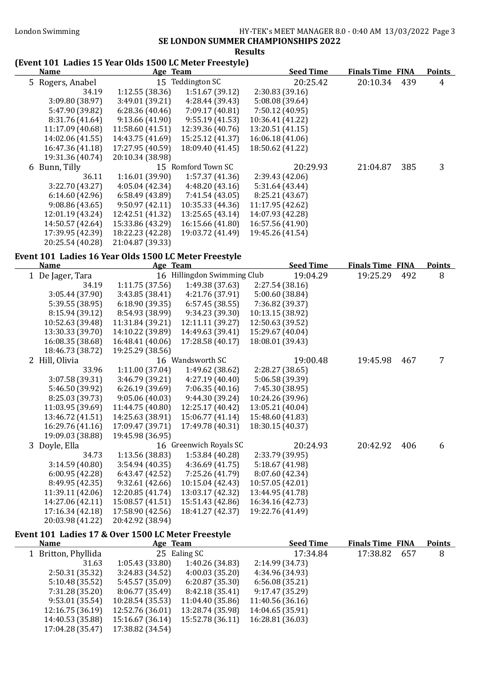#### SE LONDON SUMMER CHAMPIONSHIPS 2022

#### Results

# (Event 101 Ladies 15 Year Olds 1500 LC Meter Freestyle)

|                 |                                                                                                                                                                                                                  |                  | <b>Seed Time</b>                                   |                  |     | <b>Points</b>           |
|-----------------|------------------------------------------------------------------------------------------------------------------------------------------------------------------------------------------------------------------|------------------|----------------------------------------------------|------------------|-----|-------------------------|
|                 |                                                                                                                                                                                                                  |                  | 20:25.42                                           | 20:10.34         | 439 | 4                       |
| 34.19           | 1:12.55(38.36)                                                                                                                                                                                                   | 1:51.67(39.12)   | 2:30.83(39.16)                                     |                  |     |                         |
| 3:09.80 (38.97) | 3:49.01(39.21)                                                                                                                                                                                                   | 4:28.44 (39.43)  | 5:08.08 (39.64)                                    |                  |     |                         |
| 5:47.90 (39.82) | 6:28.36(40.46)                                                                                                                                                                                                   | 7:09.17 (40.81)  | 7:50.12 (40.95)                                    |                  |     |                         |
| 8:31.76 (41.64) | 9:13.66(41.90)                                                                                                                                                                                                   | 9:55.19(41.53)   | 10:36.41 (41.22)                                   |                  |     |                         |
|                 | 11:58.60 (41.51)                                                                                                                                                                                                 | 12:39.36 (40.76) | 13:20.51 (41.15)                                   |                  |     |                         |
|                 | 14:43.75 (41.69)                                                                                                                                                                                                 | 15:25.12 (41.37) | 16:06.18 (41.06)                                   |                  |     |                         |
|                 | 17:27.95 (40.59)                                                                                                                                                                                                 | 18:09.40 (41.45) | 18:50.62 (41.22)                                   |                  |     |                         |
|                 | 20:10.34 (38.98)                                                                                                                                                                                                 |                  |                                                    |                  |     |                         |
|                 |                                                                                                                                                                                                                  |                  | 20:29.93                                           | 21:04.87         | 385 | 3                       |
| 36.11           | 1:16.01(39.90)                                                                                                                                                                                                   | 1:57.37(41.36)   | 2:39.43(42.06)                                     |                  |     |                         |
| 3:22.70(43.27)  | 4:05.04(42.34)                                                                                                                                                                                                   | 4:48.20(43.16)   | 5:31.64 (43.44)                                    |                  |     |                         |
| 6:14.60(42.96)  | 6:58.49 (43.89)                                                                                                                                                                                                  | 7:41.54 (43.05)  | 8:25.21 (43.67)                                    |                  |     |                         |
| 9:08.86(43.65)  | 9:50.97(42.11)                                                                                                                                                                                                   | 10:35.33 (44.36) | 11:17.95 (42.62)                                   |                  |     |                         |
|                 | 12:42.51 (41.32)                                                                                                                                                                                                 | 13:25.65 (43.14) | 14:07.93 (42.28)                                   |                  |     |                         |
|                 | 15:33.86 (43.29)                                                                                                                                                                                                 | 16:15.66 (41.80) | 16:57.56 (41.90)                                   |                  |     |                         |
|                 | 18:22.23 (42.28)                                                                                                                                                                                                 | 19:03.72 (41.49) |                                                    |                  |     |                         |
|                 | 21:04.87 (39.33)                                                                                                                                                                                                 |                  |                                                    |                  |     |                         |
|                 | <b>Name</b><br>5 Rogers, Anabel<br>11:17.09 (40.68)<br>14:02.06 (41.55)<br>16:47.36 (41.18)<br>19:31.36 (40.74)<br>6 Bunn, Tilly<br>12:01.19 (43.24)<br>14:50.57 (42.64)<br>17:39.95 (42.39)<br>20:25.54 (40.28) |                  | Age Team<br>15 Teddington SC<br>15 Romford Town SC | 19:45.26 (41.54) |     | <b>Finals Time FINA</b> |

#### Event 101 Ladies 16 Year Olds 1500 LC Meter Freestyle

|                  | <b>Seed Time</b>                                                                                                                                                                                                                                                                                                                                                                                                                                                                                                                    |                                                 |     | <b>Points</b>           |
|------------------|-------------------------------------------------------------------------------------------------------------------------------------------------------------------------------------------------------------------------------------------------------------------------------------------------------------------------------------------------------------------------------------------------------------------------------------------------------------------------------------------------------------------------------------|-------------------------------------------------|-----|-------------------------|
|                  | 19:04.29                                                                                                                                                                                                                                                                                                                                                                                                                                                                                                                            | 19:25.29                                        | 492 | 8                       |
| 1:49.38 (37.63)  | 2:27.54(38.16)                                                                                                                                                                                                                                                                                                                                                                                                                                                                                                                      |                                                 |     |                         |
| 4:21.76 (37.91)  | 5:00.60 (38.84)                                                                                                                                                                                                                                                                                                                                                                                                                                                                                                                     |                                                 |     |                         |
| 6:57.45(38.55)   | 7:36.82 (39.37)                                                                                                                                                                                                                                                                                                                                                                                                                                                                                                                     |                                                 |     |                         |
| 9:34.23 (39.30)  | 10:13.15 (38.92)                                                                                                                                                                                                                                                                                                                                                                                                                                                                                                                    |                                                 |     |                         |
| 12:11.11 (39.27) | 12:50.63 (39.52)                                                                                                                                                                                                                                                                                                                                                                                                                                                                                                                    |                                                 |     |                         |
| 14:49.63 (39.41) | 15:29.67 (40.04)                                                                                                                                                                                                                                                                                                                                                                                                                                                                                                                    |                                                 |     |                         |
| 17:28.58 (40.17) | 18:08.01 (39.43)                                                                                                                                                                                                                                                                                                                                                                                                                                                                                                                    |                                                 |     |                         |
|                  |                                                                                                                                                                                                                                                                                                                                                                                                                                                                                                                                     |                                                 |     |                         |
|                  | 19:00.48                                                                                                                                                                                                                                                                                                                                                                                                                                                                                                                            | 19:45.98                                        | 467 | 7                       |
| 1:49.62 (38.62)  | 2:28.27 (38.65)                                                                                                                                                                                                                                                                                                                                                                                                                                                                                                                     |                                                 |     |                         |
| 4:27.19 (40.40)  | 5:06.58 (39.39)                                                                                                                                                                                                                                                                                                                                                                                                                                                                                                                     |                                                 |     |                         |
| 7:06.35(40.16)   | 7:45.30 (38.95)                                                                                                                                                                                                                                                                                                                                                                                                                                                                                                                     |                                                 |     |                         |
| 9:44.30 (39.24)  | 10:24.26 (39.96)                                                                                                                                                                                                                                                                                                                                                                                                                                                                                                                    |                                                 |     |                         |
| 12:25.17 (40.42) | 13:05.21 (40.04)                                                                                                                                                                                                                                                                                                                                                                                                                                                                                                                    |                                                 |     |                         |
| 15:06.77 (41.14) | 15:48.60 (41.83)                                                                                                                                                                                                                                                                                                                                                                                                                                                                                                                    |                                                 |     |                         |
| 17:49.78 (40.31) | 18:30.15 (40.37)                                                                                                                                                                                                                                                                                                                                                                                                                                                                                                                    |                                                 |     |                         |
|                  |                                                                                                                                                                                                                                                                                                                                                                                                                                                                                                                                     |                                                 |     |                         |
|                  | 20:24.93                                                                                                                                                                                                                                                                                                                                                                                                                                                                                                                            | 20:42.92                                        | 406 | 6                       |
| 1:53.84(40.28)   | 2:33.79 (39.95)                                                                                                                                                                                                                                                                                                                                                                                                                                                                                                                     |                                                 |     |                         |
| 4:36.69(41.75)   | 5:18.67 (41.98)                                                                                                                                                                                                                                                                                                                                                                                                                                                                                                                     |                                                 |     |                         |
| 7:25.26 (41.79)  | 8:07.60 (42.34)                                                                                                                                                                                                                                                                                                                                                                                                                                                                                                                     |                                                 |     |                         |
| 10:15.04 (42.43) | 10:57.05 (42.01)                                                                                                                                                                                                                                                                                                                                                                                                                                                                                                                    |                                                 |     |                         |
| 13:03.17 (42.32) |                                                                                                                                                                                                                                                                                                                                                                                                                                                                                                                                     |                                                 |     |                         |
| 15:51.43 (42.86) | 16:34.16 (42.73)                                                                                                                                                                                                                                                                                                                                                                                                                                                                                                                    |                                                 |     |                         |
| 18:41.27 (42.37) | 19:22.76 (41.49)                                                                                                                                                                                                                                                                                                                                                                                                                                                                                                                    |                                                 |     |                         |
|                  |                                                                                                                                                                                                                                                                                                                                                                                                                                                                                                                                     |                                                 |     |                         |
|                  | Age Team<br>1:11.75(37.56)<br>3:43.85 (38.41)<br>6:18.90 (39.35)<br>8:54.93 (38.99)<br>11:31.84 (39.21)<br>14:10.22 (39.89)<br>16:48.41 (40.06)<br>19:25.29 (38.56)<br>16 Wandsworth SC<br>1:11.00(37.04)<br>3:46.79 (39.21)<br>6:26.19(39.69)<br>9:05.06(40.03)<br>11:44.75 (40.80)<br>14:25.63 (38.91)<br>17:09.47 (39.71)<br>19:45.98 (36.95)<br>16 Greenwich Royals SC<br>1:13.56 (38.83)<br>3:54.94(40.35)<br>6:43.47(42.52)<br>9:32.61(42.66)<br>12:20.85 (41.74)<br>15:08.57 (41.51)<br>17:58.90 (42.56)<br>20:42.92 (38.94) | 16 Hillingdon Swimming Club<br>13:44.95 (41.78) |     | <b>Finals Time FINA</b> |

#### Event 101 Ladies 17 & Over 1500 LC Meter Freestyle

| <b>Name</b>         | <b>Age Team</b>  |                  | <b>Seed Time</b> | <b>Finals Time FINA</b> | <b>Points</b> |
|---------------------|------------------|------------------|------------------|-------------------------|---------------|
| 1 Britton, Phyllida |                  | 25 Ealing SC     | 17:34.84         | 17:38.82<br>- 657       | 8             |
| 31.63               | 1:05.43(33.80)   | 1:40.26 (34.83)  | 2:14.99 (34.73)  |                         |               |
| 2:50.31(35.32)      | 3:24.83(34.52)   | 4:00.03(35.20)   | 4:34.96 (34.93)  |                         |               |
| 5:10.48(35.52)      | 5:45.57 (35.09)  | 6:20.87(35.30)   | 6:56.08(35.21)   |                         |               |
| 7:31.28 (35.20)     | 8:06.77 (35.49)  | 8:42.18 (35.41)  | 9:17.47 (35.29)  |                         |               |
| 9:53.01(35.54)      | 10:28.54 (35.53) | 11:04.40 (35.86) | 11:40.56 (36.16) |                         |               |
| 12:16.75 (36.19)    | 12:52.76 (36.01) | 13:28.74 (35.98) | 14:04.65 (35.91) |                         |               |
| 14:40.53 (35.88)    | 15:16.67 (36.14) | 15:52.78 (36.11) | 16:28.81 (36.03) |                         |               |
| 17:04.28 (35.47)    | 17:38.82 (34.54) |                  |                  |                         |               |
|                     |                  |                  |                  |                         |               |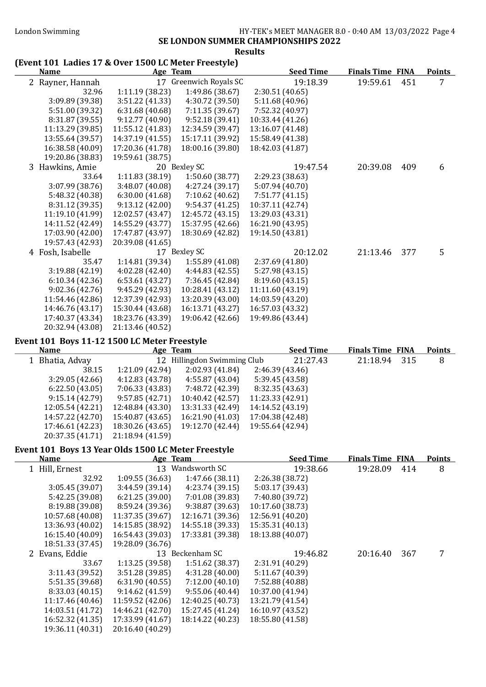#### SE LONDON SUMMER CHAMPIONSHIPS 2022

#### Results

#### (Event 101 Ladies 17 & Over 1500 LC Meter Freestyle)

| <b>Name</b>      |                  | Age Team               | <b>Seed Time</b> | <b>Finals Time FINA</b> |     | <b>Points</b> |
|------------------|------------------|------------------------|------------------|-------------------------|-----|---------------|
| 2 Rayner, Hannah |                  | 17 Greenwich Royals SC | 19:18.39         | 19:59.61                | 451 | 7             |
| 32.96            | 1:11.19 (38.23)  | 1:49.86 (38.67)        | 2:30.51(40.65)   |                         |     |               |
| 3:09.89 (39.38)  | 3:51.22(41.33)   | 4:30.72 (39.50)        | 5:11.68(40.96)   |                         |     |               |
| 5:51.00 (39.32)  | 6:31.68(40.68)   | 7:11.35(39.67)         | 7:52.32 (40.97)  |                         |     |               |
| 8:31.87 (39.55)  | 9:12.77 (40.90)  | 9:52.18(39.41)         | 10:33.44 (41.26) |                         |     |               |
| 11:13.29 (39.85) | 11:55.12 (41.83) | 12:34.59 (39.47)       | 13:16.07 (41.48) |                         |     |               |
| 13:55.64 (39.57) | 14:37.19 (41.55) | 15:17.11 (39.92)       | 15:58.49 (41.38) |                         |     |               |
| 16:38.58 (40.09) | 17:20.36 (41.78) | 18:00.16 (39.80)       | 18:42.03 (41.87) |                         |     |               |
| 19:20.86 (38.83) | 19:59.61 (38.75) |                        |                  |                         |     |               |
| 3 Hawkins, Amie  |                  | 20 Bexley SC           | 19:47.54         | 20:39.08                | 409 | 6             |
| 33.64            | 1:11.83(38.19)   | 1:50.60(38.77)         | 2:29.23 (38.63)  |                         |     |               |
| 3:07.99 (38.76)  | 3:48.07(40.08)   | 4:27.24 (39.17)        | 5:07.94 (40.70)  |                         |     |               |
| 5:48.32 (40.38)  | 6:30.00(41.68)   | 7:10.62 (40.62)        | 7:51.77(41.15)   |                         |     |               |
| 8:31.12 (39.35)  | 9:13.12(42.00)   | 9:54.37(41.25)         | 10:37.11 (42.74) |                         |     |               |
| 11:19.10 (41.99) | 12:02.57 (43.47) | 12:45.72 (43.15)       | 13:29.03 (43.31) |                         |     |               |
| 14:11.52 (42.49) | 14:55.29 (43.77) | 15:37.95 (42.66)       | 16:21.90 (43.95) |                         |     |               |
| 17:03.90 (42.00) | 17:47.87 (43.97) | 18:30.69 (42.82)       | 19:14.50 (43.81) |                         |     |               |
| 19:57.43 (42.93) | 20:39.08 (41.65) |                        |                  |                         |     |               |
| 4 Fosh, Isabelle |                  | 17 Bexley SC           | 20:12.02         | 21:13.46                | 377 | 5             |
| 35.47            | 1:14.81 (39.34)  | 1:55.89(41.08)         | 2:37.69(41.80)   |                         |     |               |
| 3:19.88 (42.19)  | 4:02.28 (42.40)  | 4:44.83 (42.55)        | 5:27.98 (43.15)  |                         |     |               |
| 6:10.34(42.36)   | 6:53.61(43.27)   | 7:36.45 (42.84)        | 8:19.60 (43.15)  |                         |     |               |
| 9:02.36(42.76)   | 9:45.29(42.93)   | 10:28.41 (43.12)       | 11:11.60 (43.19) |                         |     |               |
| 11:54.46 (42.86) | 12:37.39 (42.93) | 13:20.39 (43.00)       | 14:03.59 (43.20) |                         |     |               |
| 14:46.76 (43.17) | 15:30.44 (43.68) | 16:13.71 (43.27)       | 16:57.03 (43.32) |                         |     |               |
| 17:40.37 (43.34) | 18:23.76 (43.39) | 19:06.42 (42.66)       | 19:49.86 (43.44) |                         |     |               |
| 20:32.94 (43.08) | 21:13.46 (40.52) |                        |                  |                         |     |               |

#### Event 101 Boys 11-12 1500 LC Meter Freestyle

| <b>Name</b>      | Age Team         |                             |                  | <b>Seed Time</b> | <b>Finals Time FINA</b> |     | <b>Points</b> |
|------------------|------------------|-----------------------------|------------------|------------------|-------------------------|-----|---------------|
| 1 Bhatia, Advay  |                  | 12 Hillingdon Swimming Club |                  | 21:27.43         | 21:18.94                | 315 | 8             |
| 38.15            | 1:21.09(42.94)   | 2:02.93(41.84)              | 2:46.39(43.46)   |                  |                         |     |               |
| 3:29.05(42.66)   | 4:12.83(43.78)   | 4:55.87 (43.04)             | 5:39.45 (43.58)  |                  |                         |     |               |
| 6:22.50(43.05)   | 7:06.33 (43.83)  | 7:48.72 (42.39)             | 8:32.35 (43.63)  |                  |                         |     |               |
| 9:15.14(42.79)   | 9:57.85(42.71)   | 10:40.42 (42.57)            | 11:23.33 (42.91) |                  |                         |     |               |
| 12:05.54 (42.21) | 12:48.84 (43.30) | 13:31.33 (42.49)            | 14:14.52 (43.19) |                  |                         |     |               |
| 14:57.22 (42.70) | 15:40.87 (43.65) | 16:21.90 (41.03)            | 17:04.38 (42.48) |                  |                         |     |               |
| 17:46.61 (42.23) | 18:30.26 (43.65) | 19:12.70 (42.44)            | 19:55.64 (42.94) |                  |                         |     |               |
| 20:37.35 (41.71) | 21:18.94 (41.59) |                             |                  |                  |                         |     |               |
|                  |                  |                             |                  |                  |                         |     |               |

#### Event 101 Boys 13 Year Olds 1500 LC Meter Freestyle

 $\overline{\phantom{a}}$ 

| <b>Name</b>      | <b>Age Team</b>  |                  | <b>Seed Time</b> | <b>Finals Time FINA</b> |     | <b>Points</b> |
|------------------|------------------|------------------|------------------|-------------------------|-----|---------------|
| 1 Hill, Ernest   |                  | 13 Wandsworth SC | 19:38.66         | 19:28.09                | 414 | 8             |
| 32.92            | 1:09.55(36.63)   | 1:47.66(38.11)   | 2:26.38 (38.72)  |                         |     |               |
| 3:05.45(39.07)   | 3:44.59(39.14)   | 4:23.74 (39.15)  | 5:03.17 (39.43)  |                         |     |               |
| 5:42.25 (39.08)  | 6:21.25(39.00)   | 7:01.08 (39.83)  | 7:40.80 (39.72)  |                         |     |               |
| 8:19.88 (39.08)  | 8:59.24 (39.36)  | 9:38.87 (39.63)  | 10:17.60 (38.73) |                         |     |               |
| 10:57.68 (40.08) | 11:37.35 (39.67) | 12:16.71 (39.36) | 12:56.91 (40.20) |                         |     |               |
| 13:36.93 (40.02) | 14:15.85 (38.92) | 14:55.18 (39.33) | 15:35.31 (40.13) |                         |     |               |
| 16:15.40 (40.09) | 16:54.43 (39.03) | 17:33.81 (39.38) | 18:13.88 (40.07) |                         |     |               |
| 18:51.33 (37.45) | 19:28.09 (36.76) |                  |                  |                         |     |               |
| 2 Evans, Eddie   |                  | 13 Beckenham SC  | 19:46.82         | 20:16.40                | 367 |               |
| 33.67            | 1:13.25(39.58)   | 1:51.62(38.37)   | 2:31.91 (40.29)  |                         |     |               |
| 3:11.43(39.52)   | 3:51.28(39.85)   | 4:31.28(40.00)   | 5:11.67 (40.39)  |                         |     |               |
| 5:51.35 (39.68)  | 6:31.90(40.55)   | 7:12.00(40.10)   | 7:52.88 (40.88)  |                         |     |               |
| 8:33.03(40.15)   | 9:14.62(41.59)   | 9:55.06(40.44)   | 10:37.00 (41.94) |                         |     |               |
| 11:17.46 (40.46) | 11:59.52 (42.06) | 12:40.25 (40.73) | 13:21.79 (41.54) |                         |     |               |
| 14:03.51 (41.72) | 14:46.21 (42.70) | 15:27.45 (41.24) | 16:10.97 (43.52) |                         |     |               |
| 16:52.32 (41.35) | 17:33.99 (41.67) | 18:14.22 (40.23) | 18:55.80 (41.58) |                         |     |               |
| 19:36.11 (40.31) | 20:16.40 (40.29) |                  |                  |                         |     |               |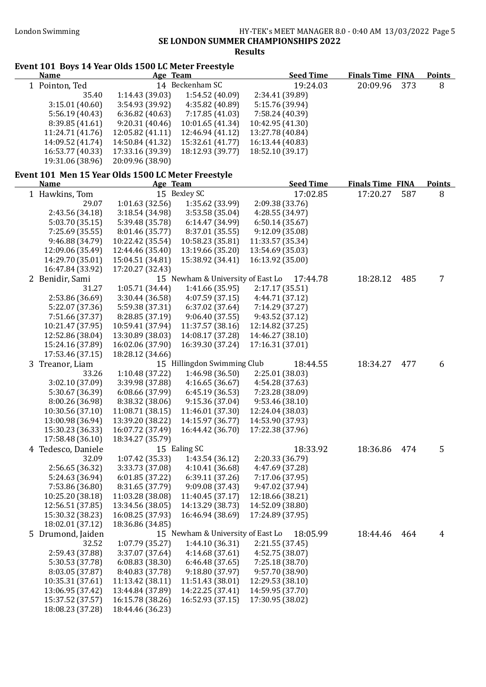#### London Swimming HY-TEK's MEET MANAGER 8.0 - 0:40 AM 13/03/2022 Page 5 SE LONDON SUMMER CHAMPIONSHIPS 2022 Results

# Event 101 Boys 14 Year Olds 1500 LC Meter Freestyle

| <b>Name</b>                                        | Age Team                           |                                    | <b>Seed Time</b>                 | <b>Finals Time FINA</b> |     | <b>Points</b> |
|----------------------------------------------------|------------------------------------|------------------------------------|----------------------------------|-------------------------|-----|---------------|
| 1 Pointon, Ted                                     |                                    | 14 Beckenham SC                    | 19:24.03                         | 20:09.96                | 373 | 8             |
| 35.40                                              | 1:14.43 (39.03)                    | 1:54.52 (40.09)                    | 2:34.41 (39.89)                  |                         |     |               |
| 3:15.01(40.60)                                     | 3:54.93 (39.92)                    | 4:35.82 (40.89)                    | 5:15.76 (39.94)                  |                         |     |               |
| 5:56.19(40.43)                                     | 6:36.82(40.63)                     | 7:17.85(41.03)                     | 7:58.24 (40.39)                  |                         |     |               |
| 8:39.85 (41.61)                                    | 9:20.31(40.46)                     | 10:01.65 (41.34)                   | 10:42.95 (41.30)                 |                         |     |               |
| 11:24.71 (41.76)                                   | 12:05.82 (41.11)                   | 12:46.94 (41.12)                   | 13:27.78 (40.84)                 |                         |     |               |
| 14:09.52 (41.74)                                   | 14:50.84 (41.32)                   | 15:32.61 (41.77)                   | 16:13.44 (40.83)                 |                         |     |               |
| 16:53.77 (40.33)                                   | 17:33.16 (39.39)                   | 18:12.93 (39.77)                   | 18:52.10 (39.17)                 |                         |     |               |
| 19:31.06 (38.96)                                   | 20:09.96 (38.90)                   |                                    |                                  |                         |     |               |
| Event 101 Men 15 Year Olds 1500 LC Meter Freestyle |                                    |                                    |                                  |                         |     |               |
| <b>Name</b>                                        | Age Team                           | 15 Bexley SC                       | <b>Seed Time</b>                 | <b>Finals Time FINA</b> |     | <b>Points</b> |
| 1 Hawkins, Tom                                     | 1:01.63(32.56)                     |                                    | 17:02.85                         | 17:20.27                | 587 | 8             |
| 29.07                                              |                                    | 1:35.62 (33.99)                    | 2:09.38 (33.76)                  |                         |     |               |
| 2:43.56 (34.18)                                    | 3:18.54 (34.98)                    | 3:53.58 (35.04)                    | 4:28.55 (34.97)                  |                         |     |               |
| 5:03.70 (35.15)                                    | 5:39.48 (35.78)<br>8:01.46 (35.77) | 6:14.47 (34.99)<br>8:37.01 (35.55) | 6:50.14(35.67)<br>9:12.09(35.08) |                         |     |               |
| 7:25.69 (35.55)<br>9:46.88 (34.79)                 | 10:22.42 (35.54)                   | 10:58.23 (35.81)                   | 11:33.57 (35.34)                 |                         |     |               |
| 12:09.06 (35.49)                                   | 12:44.46 (35.40)                   | 13:19.66 (35.20)                   | 13:54.69 (35.03)                 |                         |     |               |
| 14:29.70 (35.01)                                   | 15:04.51 (34.81)                   | 15:38.92 (34.41)                   | 16:13.92 (35.00)                 |                         |     |               |
| 16:47.84 (33.92)                                   | 17:20.27 (32.43)                   |                                    |                                  |                         |     |               |
| 2 Benidir, Sami                                    |                                    | 15 Newham & University of East Lo  | 17:44.78                         | 18:28.12                | 485 | 7             |
| 31.27                                              | 1:05.71 (34.44)                    | 1:41.66 (35.95)                    | 2:17.17(35.51)                   |                         |     |               |
| 2:53.86 (36.69)                                    | 3:30.44 (36.58)                    | 4:07.59 (37.15)                    | 4:44.71(37.12)                   |                         |     |               |
| 5:22.07 (37.36)                                    | 5:59.38 (37.31)                    | 6:37.02 (37.64)                    | 7:14.29 (37.27)                  |                         |     |               |
| 7:51.66 (37.37)                                    | 8:28.85 (37.19)                    | 9:06.40(37.55)                     | 9:43.52(37.12)                   |                         |     |               |
| 10:21.47 (37.95)                                   | 10:59.41 (37.94)                   | 11:37.57 (38.16)                   | 12:14.82 (37.25)                 |                         |     |               |
| 12:52.86 (38.04)                                   | 13:30.89 (38.03)                   | 14:08.17 (37.28)                   | 14:46.27 (38.10)                 |                         |     |               |
| 15:24.16 (37.89)                                   | 16:02.06 (37.90)                   | 16:39.30 (37.24)                   | 17:16.31 (37.01)                 |                         |     |               |
| 17:53.46 (37.15)                                   | 18:28.12 (34.66)                   |                                    |                                  |                         |     |               |
| 3 Treanor, Liam                                    |                                    | 15 Hillingdon Swimming Club        | 18:44.55                         | 18:34.27                | 477 | 6             |
| 33.26                                              | 1:10.48 (37.22)                    | 1:46.98 (36.50)                    | 2:25.01 (38.03)                  |                         |     |               |
| 3:02.10 (37.09)                                    | 3:39.98 (37.88)                    | 4:16.65(36.67)                     | 4:54.28 (37.63)                  |                         |     |               |
| 5:30.67 (36.39)                                    | 6:08.66 (37.99)                    | 6:45.19 (36.53)                    | 7:23.28 (38.09)                  |                         |     |               |
| 8:00.26 (36.98)                                    | 8:38.32 (38.06)                    | 9:15.36 (37.04)                    | 9:53.46 (38.10)                  |                         |     |               |
| 10:30.56 (37.10)                                   | 11:08.71 (38.15)                   | 11:46.01 (37.30)                   | 12:24.04 (38.03)                 |                         |     |               |
| 13:00.98 (36.94)                                   | 13:39.20 (38.22)                   | 14:15.97 (36.77)                   | 14:53.90 (37.93)                 |                         |     |               |
| 15:30.23 (36.33)                                   | 16:07.72 (37.49)                   | 16:44.42 (36.70)                   | 17:22.38 (37.96)                 |                         |     |               |
| 17:58.48 (36.10)                                   | 18:34.27 (35.79)                   |                                    |                                  |                         |     |               |
| 4 Tedesco, Daniele                                 |                                    | 15 Ealing SC                       | 18:33.92                         | 18:36.86                | 474 | 5             |
| 32.09                                              | 1:07.42 (35.33)                    | 1:43.54 (36.12)                    | 2:20.33 (36.79)                  |                         |     |               |
| 2:56.65 (36.32)                                    | 3:33.73 (37.08)                    | 4:10.41 (36.68)                    | 4:47.69 (37.28)                  |                         |     |               |
| 5:24.63 (36.94)                                    | 6:01.85(37.22)                     | 6:39.11(37.26)                     | 7:17.06 (37.95)                  |                         |     |               |
| 7:53.86 (36.80)                                    | 8:31.65 (37.79)                    | 9:09.08 (37.43)                    | 9:47.02 (37.94)                  |                         |     |               |
| 10:25.20 (38.18)                                   | 11:03.28 (38.08)                   | 11:40.45 (37.17)                   | 12:18.66 (38.21)                 |                         |     |               |
| 12:56.51 (37.85)                                   | 13:34.56 (38.05)                   | 14:13.29 (38.73)                   | 14:52.09 (38.80)                 |                         |     |               |
| 15:30.32 (38.23)                                   | 16:08.25 (37.93)                   | 16:46.94 (38.69)                   | 17:24.89 (37.95)                 |                         |     |               |
| 18:02.01 (37.12)                                   | 18:36.86 (34.85)                   |                                    |                                  |                         |     |               |
| 5 Drumond, Jaiden                                  |                                    | 15 Newham & University of East Lo  | 18:05.99                         | 18:44.46                | 464 | 4             |
| 32.52                                              | 1:07.79(35.27)                     | 1:44.10 (36.31)                    | 2:21.55(37.45)                   |                         |     |               |
| 2:59.43 (37.88)                                    | 3:37.07 (37.64)                    | 4:14.68(37.61)                     | 4:52.75 (38.07)                  |                         |     |               |
| 5:30.53 (37.78)                                    | 6:08.83(38.30)                     | 6:46.48 (37.65)                    | 7:25.18 (38.70)                  |                         |     |               |
| 8:03.05 (37.87)                                    | 8:40.83 (37.78)                    | 9:18.80 (37.97)                    | 9:57.70 (38.90)                  |                         |     |               |
| 10:35.31 (37.61)                                   | 11:13.42 (38.11)                   | 11:51.43 (38.01)                   | 12:29.53 (38.10)                 |                         |     |               |
| 13:06.95 (37.42)                                   | 13:44.84 (37.89)                   | 14:22.25 (37.41)                   | 14:59.95 (37.70)                 |                         |     |               |
| 15:37.52 (37.57)                                   | 16:15.78 (38.26)                   | 16:52.93 (37.15)                   | 17:30.95 (38.02)                 |                         |     |               |
| 18:08.23 (37.28)                                   | 18:44.46 (36.23)                   |                                    |                                  |                         |     |               |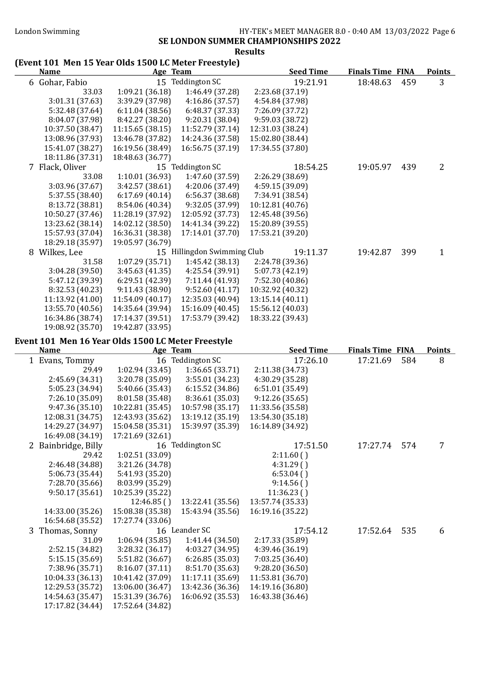#### SE LONDON SUMMER CHAMPIONSHIPS 2022 Results

# (Event 101 Men 15 Year Olds 1500 LC Meter Freestyle)

| <b>Name</b>                                        | Age Team         |                                                                                                                                                                                                                                                                                                                                                                                      | <b>Seed Time</b> | <b>Finals Time FINA</b> |     | <b>Points</b>  |
|----------------------------------------------------|------------------|--------------------------------------------------------------------------------------------------------------------------------------------------------------------------------------------------------------------------------------------------------------------------------------------------------------------------------------------------------------------------------------|------------------|-------------------------|-----|----------------|
| 6 Gohar, Fabio                                     |                  | 15 Teddington SC                                                                                                                                                                                                                                                                                                                                                                     | 19:21.91         | 18:48.63                | 459 | $\overline{3}$ |
| 33.03                                              | 1:09.21(36.18)   | 1:46.49 (37.28)                                                                                                                                                                                                                                                                                                                                                                      | 2:23.68 (37.19)  |                         |     |                |
| 3:01.31 (37.63)                                    | 3:39.29 (37.98)  | 4:16.86(37.57)                                                                                                                                                                                                                                                                                                                                                                       | 4:54.84 (37.98)  |                         |     |                |
| 5:32.48 (37.64)                                    | 6:11.04(38.56)   | 6:48.37 (37.33)                                                                                                                                                                                                                                                                                                                                                                      | 7:26.09 (37.72)  |                         |     |                |
| 8:04.07 (37.98)                                    | 8:42.27 (38.20)  | 9:20.31 (38.04)                                                                                                                                                                                                                                                                                                                                                                      | 9:59.03 (38.72)  |                         |     |                |
| 10:37.50 (38.47)                                   | 11:15.65 (38.15) | 11:52.79 (37.14)                                                                                                                                                                                                                                                                                                                                                                     | 12:31.03 (38.24) |                         |     |                |
| 13:08.96 (37.93)                                   | 13:46.78 (37.82) | 14:24.36 (37.58)                                                                                                                                                                                                                                                                                                                                                                     | 15:02.80 (38.44) |                         |     |                |
| 15:41.07 (38.27)                                   | 16:19.56 (38.49) | 16:56.75 (37.19)                                                                                                                                                                                                                                                                                                                                                                     | 17:34.55 (37.80) |                         |     |                |
| 18:11.86 (37.31)                                   | 18:48.63 (36.77) |                                                                                                                                                                                                                                                                                                                                                                                      |                  |                         |     |                |
| 7 Flack, Oliver                                    |                  | 15 Teddington SC                                                                                                                                                                                                                                                                                                                                                                     | 18:54.25         | 19:05.97                | 439 | 2              |
| 33.08                                              | 1:10.01(36.93)   | 1:47.60 (37.59)                                                                                                                                                                                                                                                                                                                                                                      | 2:26.29 (38.69)  |                         |     |                |
| 3:03.96 (37.67)                                    | 3:42.57(38.61)   | 4:20.06 (37.49)                                                                                                                                                                                                                                                                                                                                                                      | 4:59.15 (39.09)  |                         |     |                |
| 5:37.55 (38.40)                                    | 6:17.69(40.14)   | 6:56.37 (38.68)                                                                                                                                                                                                                                                                                                                                                                      | 7:34.91 (38.54)  |                         |     |                |
| 8:13.72 (38.81)                                    | 8:54.06 (40.34)  | 9:32.05 (37.99)                                                                                                                                                                                                                                                                                                                                                                      | 10:12.81 (40.76) |                         |     |                |
| 10:50.27 (37.46)                                   | 11:28.19 (37.92) | 12:05.92 (37.73)                                                                                                                                                                                                                                                                                                                                                                     | 12:45.48 (39.56) |                         |     |                |
| 13:23.62 (38.14)                                   | 14:02.12 (38.50) | 14:41.34 (39.22)                                                                                                                                                                                                                                                                                                                                                                     | 15:20.89 (39.55) |                         |     |                |
| 15:57.93 (37.04)                                   | 16:36.31 (38.38) | 17:14.01 (37.70)                                                                                                                                                                                                                                                                                                                                                                     | 17:53.21 (39.20) |                         |     |                |
| 18:29.18 (35.97)                                   | 19:05.97 (36.79) |                                                                                                                                                                                                                                                                                                                                                                                      |                  |                         |     |                |
| 8 Wilkes, Lee                                      |                  | 15 Hillingdon Swimming Club                                                                                                                                                                                                                                                                                                                                                          | 19:11.37         | 19:42.87                | 399 | $\mathbf{1}$   |
| 31.58                                              | 1:07.29 (35.71)  | 1:45.42 (38.13)                                                                                                                                                                                                                                                                                                                                                                      | 2:24.78 (39.36)  |                         |     |                |
| 3:04.28 (39.50)                                    | 3:45.63(41.35)   | 4:25.54 (39.91)                                                                                                                                                                                                                                                                                                                                                                      | 5:07.73 (42.19)  |                         |     |                |
| 5:47.12 (39.39)                                    | 6:29.51(42.39)   | 7:11.44 (41.93)                                                                                                                                                                                                                                                                                                                                                                      | 7:52.30 (40.86)  |                         |     |                |
| 8:32.53 (40.23)                                    | 9:11.43 (38.90)  | 9:52.60(41.17)                                                                                                                                                                                                                                                                                                                                                                       | 10:32.92 (40.32) |                         |     |                |
| 11:13.92 (41.00)                                   | 11:54.09 (40.17) | 12:35.03 (40.94)                                                                                                                                                                                                                                                                                                                                                                     | 13:15.14 (40.11) |                         |     |                |
| 13:55.70 (40.56)                                   | 14:35.64 (39.94) | 15:16.09 (40.45)                                                                                                                                                                                                                                                                                                                                                                     | 15:56.12 (40.03) |                         |     |                |
| 16:34.86 (38.74)                                   | 17:14.37 (39.51) | 17:53.79 (39.42)                                                                                                                                                                                                                                                                                                                                                                     | 18:33.22 (39.43) |                         |     |                |
| 19:08.92 (35.70)                                   | 19:42.87 (33.95) |                                                                                                                                                                                                                                                                                                                                                                                      |                  |                         |     |                |
| Event 101 Men 16 Year Olds 1500 LC Meter Freestyle |                  |                                                                                                                                                                                                                                                                                                                                                                                      |                  |                         |     |                |
| <b>Name</b>                                        | Age Team         |                                                                                                                                                                                                                                                                                                                                                                                      | <b>Seed Time</b> | <b>Finals Time FINA</b> |     | <b>Points</b>  |
| 1 Evans, Tommy                                     |                  | 16 Teddington SC                                                                                                                                                                                                                                                                                                                                                                     | 17:26.10         | 17:21.69                | 584 | 8              |
| 29.49                                              | 1:02.94 (33.45)  | 1:36.65(33.71)                                                                                                                                                                                                                                                                                                                                                                       | 2:11.38 (34.73)  |                         |     |                |
| 2:45.69 (34.31)                                    | 3:20.78 (35.09)  | 3:55.01 (34.23)                                                                                                                                                                                                                                                                                                                                                                      | 4:30.29 (35.28)  |                         |     |                |
| 5:05.23 (34.94)                                    | 5:40.66 (35.43)  | 6:15.52(34.86)                                                                                                                                                                                                                                                                                                                                                                       | 6:51.01 (35.49)  |                         |     |                |
| 7:26.10 (35.09)                                    | 8:01.58 (35.48)  | 8:36.61 (35.03)                                                                                                                                                                                                                                                                                                                                                                      | 9:12.26(35.65)   |                         |     |                |
| 1.726                                              |                  | $\overline{A}$ $\overline{C}$ $\overline{C}$ $\overline{D}$ $\overline{C}$ $\overline{C}$ $\overline{C}$ $\overline{C}$ $\overline{C}$ $\overline{C}$ $\overline{C}$ $\overline{C}$ $\overline{C}$ $\overline{C}$ $\overline{C}$ $\overline{C}$ $\overline{C}$ $\overline{C}$ $\overline{C}$ $\overline{C}$ $\overline{C}$ $\overline{C}$ $\overline{C}$ $\overline{C}$ $\overline{$ |                  |                         |     |                |

| 9:47.36(35.10)      | 10:22.81 (35.45) | 10:57.98 (35.17) | 11:33.56 (35.58) |          |     |   |
|---------------------|------------------|------------------|------------------|----------|-----|---|
| 12:08.31 (34.75)    | 12:43.93 (35.62) | 13:19.12 (35.19) | 13:54.30 (35.18) |          |     |   |
| 14:29.27 (34.97)    | 15:04.58 (35.31) | 15:39.97 (35.39) | 16:14.89 (34.92) |          |     |   |
| 16:49.08 (34.19)    | 17:21.69 (32.61) |                  |                  |          |     |   |
| 2 Bainbridge, Billy |                  | 16 Teddington SC | 17:51.50         | 17:27.74 | 574 | 7 |
| 29.42               | 1:02.51 (33.09)  |                  | 2:11.60()        |          |     |   |
| 2:46.48 (34.88)     | 3:21.26 (34.78)  |                  | 4:31.29()        |          |     |   |
| 5:06.73(35.44)      | 5:41.93 (35.20)  |                  | 6:53.04(         |          |     |   |
| 7:28.70(35.66)      | 8:03.99 (35.29)  |                  | 9:14.56()        |          |     |   |
| 9:50.17(35.61)      | 10:25.39 (35.22) |                  | 11:36.23()       |          |     |   |
|                     | 12:46.85()       | 13:22.41 (35.56) | 13:57.74 (35.33) |          |     |   |
| 14:33.00 (35.26)    | 15:08.38 (35.38) | 15:43.94 (35.56) | 16:19.16 (35.22) |          |     |   |
| 16:54.68 (35.52)    | 17:27.74 (33.06) |                  |                  |          |     |   |
| 3 Thomas, Sonny     |                  | 16 Leander SC    | 17:54.12         | 17:52.64 | 535 | 6 |
| 31.09               | 1:06.94(35.85)   | 1:41.44(34.50)   | 2:17.33 (35.89)  |          |     |   |
| 2:52.15(34.82)      | 3:28.32(36.17)   | 4:03.27(34.95)   | 4:39.46 (36.19)  |          |     |   |
| 5:15.15(35.69)      | 5:51.82 (36.67)  | 6:26.85(35.03)   | 7:03.25 (36.40)  |          |     |   |
| 7:38.96 (35.71)     | 8:16.07(37.11)   | 8:51.70 (35.63)  | 9:28.20(36.50)   |          |     |   |
| 10:04.33 (36.13)    | 10:41.42 (37.09) | 11:17.11 (35.69) | 11:53.81 (36.70) |          |     |   |
| 12:29.53 (35.72)    | 13:06.00 (36.47) | 13:42.36 (36.36) | 14:19.16 (36.80) |          |     |   |
| 14:54.63 (35.47)    | 15:31.39 (36.76) | 16:06.92 (35.53) | 16:43.38 (36.46) |          |     |   |
| 17:17.82 (34.44)    | 17:52.64 (34.82) |                  |                  |          |     |   |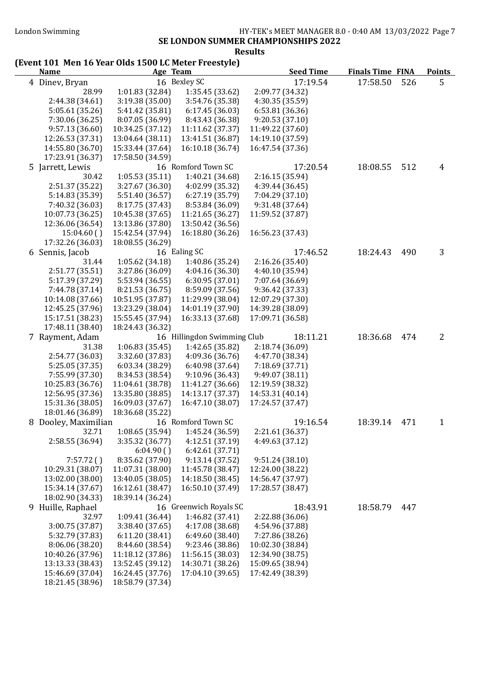#### SE LONDON SUMMER CHAMPIONSHIPS 2022 Results

### (Event 101 Men 16 Year Olds 1500 LC Meter Freestyle)

| <b>Name</b>                         |                                     | Age Team                            | <b>Seed Time</b>                    | <b>Finals Time FINA</b> |     | <b>Points</b> |
|-------------------------------------|-------------------------------------|-------------------------------------|-------------------------------------|-------------------------|-----|---------------|
| 4 Dinev, Bryan                      |                                     | 16 Bexley SC                        | 17:19.54                            | 17:58.50                | 526 | 5             |
| 28.99                               | 1:01.83 (32.84)                     | 1:35.45 (33.62)                     | 2:09.77 (34.32)                     |                         |     |               |
| 2:44.38 (34.61)                     | 3:19.38 (35.00)                     | 3:54.76 (35.38)                     | 4:30.35 (35.59)                     |                         |     |               |
| 5:05.61 (35.26)                     | 5:41.42 (35.81)                     | 6:17.45(36.03)                      | 6:53.81(36.36)                      |                         |     |               |
| 7:30.06 (36.25)                     | 8:07.05 (36.99)                     | 8:43.43 (36.38)                     | 9:20.53(37.10)                      |                         |     |               |
| 9:57.13(36.60)                      | 10:34.25 (37.12)                    | 11:11.62 (37.37)                    | 11:49.22 (37.60)                    |                         |     |               |
| 12:26.53 (37.31)                    | 13:04.64 (38.11)                    | 13:41.51 (36.87)                    | 14:19.10 (37.59)                    |                         |     |               |
| 14:55.80 (36.70)                    | 15:33.44 (37.64)                    | 16:10.18 (36.74)                    | 16:47.54 (37.36)                    |                         |     |               |
| 17:23.91 (36.37)                    | 17:58.50 (34.59)                    |                                     |                                     |                         |     |               |
| 5 Jarrett, Lewis                    |                                     | 16 Romford Town SC                  | 17:20.54                            | 18:08.55                | 512 | 4             |
| 30.42                               | 1:05.53(35.11)                      | 1:40.21 (34.68)                     | 2:16.15(35.94)                      |                         |     |               |
| 2:51.37 (35.22)                     | 3:27.67 (36.30)                     | 4:02.99 (35.32)                     | 4:39.44 (36.45)                     |                         |     |               |
| 5:14.83 (35.39)                     | 5:51.40 (36.57)                     | 6:27.19(35.79)                      | 7:04.29 (37.10)                     |                         |     |               |
| 7:40.32 (36.03)                     | 8:17.75 (37.43)                     | 8:53.84 (36.09)                     | 9:31.48 (37.64)                     |                         |     |               |
| 10:07.73 (36.25)                    | 10:45.38 (37.65)                    | 11:21.65 (36.27)                    | 11:59.52 (37.87)                    |                         |     |               |
| 12:36.06 (36.54)                    | 13:13.86 (37.80)                    | 13:50.42 (36.56)                    |                                     |                         |     |               |
| 15:04.60()                          | 15:42.54 (37.94)                    | 16:18.80 (36.26)                    | 16:56.23 (37.43)                    |                         |     |               |
| 17:32.26 (36.03)                    | 18:08.55 (36.29)                    |                                     |                                     |                         |     |               |
| 6 Sennis, Jacob                     |                                     | 16 Ealing SC                        | 17:46.52                            | 18:24.43                | 490 | 3             |
| 31.44                               | 1:05.62(34.18)                      | 1:40.86 (35.24)                     | 2:16.26(35.40)                      |                         |     |               |
| 2:51.77 (35.51)                     | 3:27.86 (36.09)                     | 4:04.16 (36.30)                     | 4:40.10 (35.94)<br>7:07.64 (36.69)  |                         |     |               |
| 5:17.39 (37.29)                     | 5:53.94 (36.55)                     | 6:30.95(37.01)                      |                                     |                         |     |               |
| 7:44.78 (37.14)<br>10:14.08 (37.66) | 8:21.53 (36.75)<br>10:51.95 (37.87) | 8:59.09 (37.56)<br>11:29.99 (38.04) | 9:36.42 (37.33)<br>12:07.29 (37.30) |                         |     |               |
| 12:45.25 (37.96)                    | 13:23.29 (38.04)                    | 14:01.19 (37.90)                    | 14:39.28 (38.09)                    |                         |     |               |
| 15:17.51 (38.23)                    | 15:55.45 (37.94)                    | 16:33.13 (37.68)                    | 17:09.71 (36.58)                    |                         |     |               |
| 17:48.11 (38.40)                    | 18:24.43 (36.32)                    |                                     |                                     |                         |     |               |
| 7 Rayment, Adam                     |                                     | 16 Hillingdon Swimming Club         | 18:11.21                            | 18:36.68                | 474 | 2             |
| 31.38                               | 1:06.83(35.45)                      | 1:42.65 (35.82)                     | 2:18.74 (36.09)                     |                         |     |               |
| 2:54.77 (36.03)                     | 3:32.60 (37.83)                     | 4:09.36 (36.76)                     | 4:47.70 (38.34)                     |                         |     |               |
| 5:25.05 (37.35)                     | 6:03.34 (38.29)                     | 6:40.98(37.64)                      | 7:18.69 (37.71)                     |                         |     |               |
| 7:55.99 (37.30)                     | 8:34.53 (38.54)                     | 9:10.96 (36.43)                     | 9:49.07 (38.11)                     |                         |     |               |
| 10:25.83 (36.76)                    | 11:04.61 (38.78)                    | 11:41.27 (36.66)                    | 12:19.59 (38.32)                    |                         |     |               |
| 12:56.95 (37.36)                    | 13:35.80 (38.85)                    | 14:13.17 (37.37)                    | 14:53.31 (40.14)                    |                         |     |               |
| 15:31.36 (38.05)                    | 16:09.03 (37.67)                    | 16:47.10 (38.07)                    | 17:24.57 (37.47)                    |                         |     |               |
| 18:01.46 (36.89)                    | 18:36.68 (35.22)                    |                                     |                                     |                         |     |               |
| 8 Dooley, Maximilian                |                                     | 16 Romford Town SC                  | 19:16.54                            | 18:39.14                | 471 | 1             |
| 32.71                               | 1:08.65 (35.94)                     | 1:45.24 (36.59)                     | 2:21.61 (36.37)                     |                         |     |               |
| 2:58.55 (36.94)                     | 3:35.32 (36.77)                     | 4:12.51 (37.19)                     | 4:49.63 (37.12)                     |                         |     |               |
|                                     | 6:04.90(                            | 6:42.61 (37.71)                     |                                     |                         |     |               |
| 7:57.72()                           | 8:35.62 (37.90)                     | 9:13.14(37.52)                      | 9:51.24(38.10)                      |                         |     |               |
| 10:29.31 (38.07)                    | 11:07.31 (38.00)                    | 11:45.78 (38.47)                    | 12:24.00 (38.22)                    |                         |     |               |
| 13:02.00 (38.00)                    | 13:40.05 (38.05)                    | 14:18.50 (38.45)                    | 14:56.47 (37.97)                    |                         |     |               |
| 15:34.14 (37.67)                    | 16:12.61 (38.47)                    | 16:50.10 (37.49)                    | 17:28.57 (38.47)                    |                         |     |               |
| 18:02.90 (34.33)                    | 18:39.14 (36.24)                    |                                     |                                     |                         |     |               |
| 9 Huille, Raphael                   |                                     | 16 Greenwich Royals SC              | 18:43.91                            | 18:58.79                | 447 |               |
| 32.97                               | 1:09.41(36.44)                      | 1:46.82 (37.41)                     | 2:22.88 (36.06)                     |                         |     |               |
| 3:00.75 (37.87)                     | 3:38.40 (37.65)                     | 4:17.08 (38.68)                     | 4:54.96 (37.88)                     |                         |     |               |
| 5:32.79 (37.83)                     | 6:11.20(38.41)                      | 6:49.60(38.40)                      | 7:27.86 (38.26)                     |                         |     |               |
| 8:06.06 (38.20)                     | 8:44.60 (38.54)                     | 9:23.46 (38.86)                     | 10:02.30 (38.84)                    |                         |     |               |
| 10:40.26 (37.96)                    | 11:18.12 (37.86)                    | 11:56.15 (38.03)                    | 12:34.90 (38.75)                    |                         |     |               |
| 13:13.33 (38.43)                    | 13:52.45 (39.12)                    | 14:30.71 (38.26)                    | 15:09.65 (38.94)                    |                         |     |               |
| 15:46.69 (37.04)                    | 16:24.45 (37.76)                    | 17:04.10 (39.65)                    | 17:42.49 (38.39)                    |                         |     |               |
| 18:21.45 (38.96)                    | 18:58.79 (37.34)                    |                                     |                                     |                         |     |               |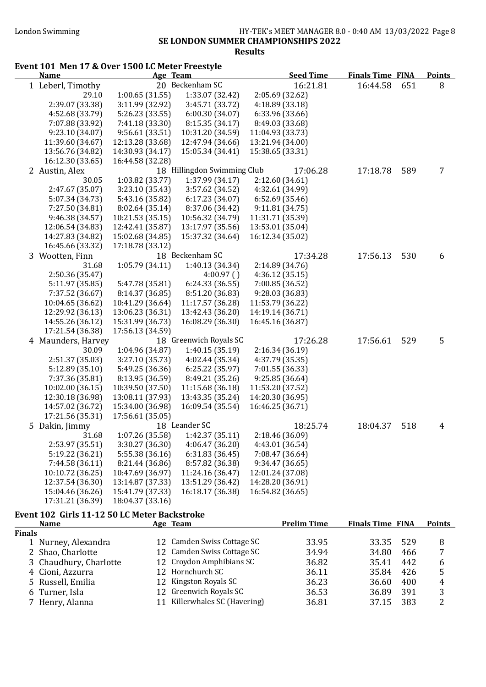#### London Swimming HY-TEK's MEET MANAGER 8.0 - 0:40 AM 13/03/2022 Page 8 SE LONDON SUMMER CHAMPIONSHIPS 2022 Results

#### Event 101 Men 17 & Over 1500 LC Meter Freestyle Name Age Team Seed Time Finals Time FINA Points 1 Leberl, Timothy 20 Beckenham SC 16:21.81 16:44.58 651 8 29.10 1:00.65 (31.55) 1:33.07 (32.42) 2:05.69 (32.62) 2:39.07 (33.38) 3:11.99 (32.92) 3:45.71 (33.72) 4:18.89 (33.18) 4:52.68 (33.79) 5:26.23 (33.55) 6:00.30 (34.07) 6:33.96 (33.66) 7:07.88 (33.92) 7:41.18 (33.30) 8:15.35 (34.17) 8:49.03 (33.68) 9:23.10 (34.07) 9:56.61 (33.51) 10:31.20 (34.59) 11:04.93 (33.73) 11:39.60 (34.67) 12:13.28 (33.68) 12:47.94 (34.66) 13:21.94 (34.00) 13:56.76 (34.82) 14:30.93 (34.17) 15:05.34 (34.41) 15:38.65 (33.31) 16:12.30 (33.65) 16:44.58 (32.28) 2 Austin, Alex 18 Hillingdon Swimming Club 17:06.28 17:18.78 589 7 30.05 1:03.82 (33.77) 1:37.99 (34.17) 2:12.60 (34.61) 2:47.67 (35.07) 3:23.10 (35.43) 3:57.62 (34.52) 4:32.61 (34.99) 5:07.34 (34.73) 5:43.16 (35.82) 6:17.23 (34.07) 6:52.69 (35.46) 7:27.50 (34.81) 8:02.64 (35.14) 8:37.06 (34.42) 9:11.81 (34.75) 9:46.38 (34.57) 10:21.53 (35.15) 10:56.32 (34.79) 11:31.71 (35.39) 12:06.54 (34.83) 12:42.41 (35.87) 13:17.97 (35.56) 13:53.01 (35.04) 14:27.83 (34.82) 15:02.68 (34.85) 15:37.32 (34.64) 16:12.34 (35.02) 16:45.66 (33.32) 17:18.78 (33.12) 3 Wootten, Finn 18 Beckenham SC 17:34.28 17:56.13 530 6 31.68 1:05.79 (34.11) 1:40.13 (34.34) 2:14.89 (34.76) 2:50.36 (35.47) 4:00.97 ( ) 4:36.12 (35.15) 5:11.97 (35.85) 5:47.78 (35.81) 6:24.33 (36.55) 7:00.85 (36.52) 7:37.52 (36.67) 8:14.37 (36.85) 8:51.20 (36.83) 10:04.65 (36.62) 10:41.29 (36.64) 11:17.57 (36.28) 11:53.79 (36.22) 12:29.92 (36.13) 13:06.23 (36.31) 13:42.43 (36.20) 14:19.14 (36.71) 14:55.26 (36.12) 15:31.99 (36.73) 16:08.29 (36.30) 16:45.16 (36.87) 17:21.54 (36.38) 17:56.13 (34.59) 4 Maunders, Harvey 18 Greenwich Royals SC 17:26.28 17:56.61 529 5 30.09 1:04.96 (34.87) 1:40.15 (35.19) 2:16.34 (36.19) 2:51.37 (35.03) 3:27.10 (35.73) 4:02.44 (35.34) 4:37.79 (35.35) 5:12.89 (35.10) 5:49.25 (36.36) 6:25.22 (35.97) 7:01.55 (36.33) 7:37.36 (35.81) 8:13.95 (36.59) 8:49.21 (35.26) 9:25.85 (36.64) 10:02.00 (36.15) 10:39.50 (37.50) 11:15.68 (36.18) 11:53.20 (37.52) 12:30.18 (36.98) 13:08.11 (37.93) 13:43.35 (35.24) 14:20.30 (36.95) 14:57.02 (36.72) 15:34.00 (36.98) 16:09.54 (35.54) 16:46.25 (36.71) 17:21.56 (35.31) 17:56.61 (35.05) 5 Dakin, Jimmy 18 Leander SC 18:25.74 18:04.37 518 4 31.68 1:07.26 (35.58) 1:42.37 (35.11) 2:18.46 (36.09) 2:53.97 (35.51) 3:30.27 (36.30) 4:06.47 (36.20) 4:43.01 (36.54) 5:19.22 (36.21) 5:55.38 (36.16) 6:31.83 (36.45) 7:08.47 (36.64) 7:44.58 (36.11) 8:21.44 (36.86) 8:57.82 (36.38) 9:34.47 (36.65) 10:10.72 (36.25) 10:47.69 (36.97) 11:24.16 (36.47) 12:01.24 (37.08) 12:37.54 (36.30) 13:14.87 (37.33) 13:51.29 (36.42) 14:28.20 (36.91) 15:04.46 (36.26) 15:41.79 (37.33) 16:18.17 (36.38) 16:54.82 (36.65) 17:31.21 (36.39) 18:04.37 (33.16) Event 102 Girls 11-12 50 LC Meter Backstroke Name **Age Team** Prelim Time Finals Time FINA Points **Finals**<br>1 Nurney. Alexandra 12 Camden Swiss Cottage SC 33.95 33.35 529 8 2 Shao, Charlotte 12 Camden Swiss Cottage SC 34.94 34.80 466 7 3 Chaudhury, Charlotte 12 Croydon Amphibians SC 36.82 35.41 442 6 4 Cioni, Azzurra 12 Hornchurch SC 36.11 35.84 426 5 5 Russell, Emilia 12 Kingston Royals SC 36.23 36.60 400 4

#### 6 Turner, Isla 12 Greenwich Royals SC 36.53 36.89 391 3

7 Henry, Alanna 11 Killerwhales SC (Havering) 36.81 37.15 383 2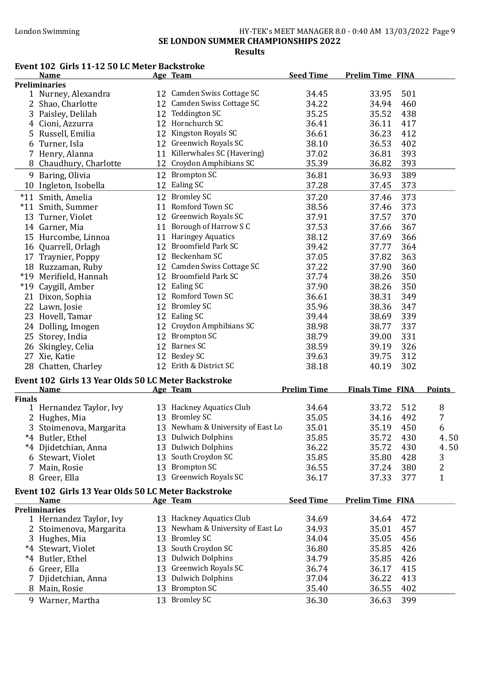SE LONDON SUMMER CHAMPIONSHIPS 2022

Results

#### Event 102 Girls 11-12 50 LC Meter Backstroke

|               | <b>Name</b>                                         |    | Age Team                            | <b>Seed Time</b>   | <b>Prelim Time FINA</b>      |               |
|---------------|-----------------------------------------------------|----|-------------------------------------|--------------------|------------------------------|---------------|
|               | <b>Preliminaries</b>                                |    |                                     |                    |                              |               |
|               | 1 Nurney, Alexandra                                 |    | 12 Camden Swiss Cottage SC          | 34.45              | 501<br>33.95                 |               |
|               | 2 Shao, Charlotte                                   |    | 12 Camden Swiss Cottage SC          | 34.22              | 34.94<br>460                 |               |
|               | 3 Paisley, Delilah                                  |    | 12 Teddington SC                    | 35.25              | 438<br>35.52                 |               |
|               | 4 Cioni, Azzurra                                    |    | 12 Hornchurch SC                    | 36.41              | 36.11<br>417                 |               |
| 5             | Russell, Emilia                                     |    | 12 Kingston Royals SC               | 36.61              | 412<br>36.23                 |               |
|               |                                                     |    | 12 Greenwich Royals SC              |                    | 402                          |               |
|               | 6 Turner, Isla                                      |    |                                     | 38.10              | 36.53                        |               |
|               | 7 Henry, Alanna                                     |    | 11 Killerwhales SC (Havering)       | 37.02              | 393<br>36.81                 |               |
|               | 8 Chaudhury, Charlotte                              |    | 12 Croydon Amphibians SC            | 35.39              | 393<br>36.82                 |               |
|               | 9 Baring, Olivia                                    |    | 12 Brompton SC                      | 36.81              | 389<br>36.93                 |               |
|               | 10 Ingleton, Isobella                               |    | 12 Ealing SC                        | 37.28              | 373<br>37.45                 |               |
|               | *11 Smith, Amelia                                   |    | 12 Bromley SC                       | 37.20              | 373<br>37.46                 |               |
|               | *11 Smith, Summer                                   |    | 11 Romford Town SC                  | 38.56              | 373<br>37.46                 |               |
|               |                                                     |    | 12 Greenwich Royals SC              | 37.91              | 370<br>37.57                 |               |
|               | 13 Turner, Violet                                   |    |                                     |                    |                              |               |
|               | 14 Garner, Mia                                      |    | 11 Borough of Harrow S C            | 37.53              | 367<br>37.66                 |               |
|               | 15 Hurcombe, Linnoa                                 |    | 11 Haringey Aquatics                | 38.12              | 37.69<br>366                 |               |
|               | 16 Quarrell, Orlagh                                 |    | 12 Broomfield Park SC               | 39.42              | 364<br>37.77                 |               |
|               | 17 Traynier, Poppy                                  |    | 12 Beckenham SC                     | 37.05              | 37.82<br>363                 |               |
|               | 18 Ruzzaman, Ruby                                   |    | 12 Camden Swiss Cottage SC          | 37.22              | 37.90<br>360                 |               |
|               | *19 Merifield, Hannah                               |    | 12 Broomfield Park SC               | 37.74              | 350<br>38.26                 |               |
|               | *19 Caygill, Amber                                  |    | 12 Ealing SC                        | 37.90              | 350<br>38.26                 |               |
|               | 21 Dixon, Sophia                                    |    | 12 Romford Town SC                  | 36.61              | 349<br>38.31                 |               |
|               | 22 Lawn, Josie                                      |    | 12 Bromley SC                       | 35.96              | 347<br>38.36                 |               |
|               | 23 Hovell, Tamar                                    |    | 12 Ealing SC                        | 39.44              | 339<br>38.69                 |               |
|               |                                                     |    | 12 Croydon Amphibians SC            | 38.98              | 337<br>38.77                 |               |
|               | 24 Dolling, Imogen                                  |    | 12 Brompton SC                      |                    |                              |               |
|               | 25 Storey, India                                    |    |                                     | 38.79              | 331<br>39.00                 |               |
|               | 26 Skingley, Celia                                  |    | 12 Barnes SC                        | 38.59              | 326<br>39.19                 |               |
|               | 27 Xie, Katie                                       |    | 12 Bexley SC                        | 39.63              | 312<br>39.75                 |               |
|               | 28 Chatten, Charley                                 |    | 12 Erith & District SC              | 38.18              | 302<br>40.19                 |               |
|               | Event 102 Girls 13 Year Olds 50 LC Meter Backstroke |    |                                     |                    |                              |               |
|               | <b>Name</b>                                         |    | Age Team                            | <b>Prelim Time</b> | <b>Finals Time FINA</b>      | <b>Points</b> |
| <b>Finals</b> |                                                     |    |                                     |                    |                              |               |
|               | 1 Hernandez Taylor, Ivy                             |    | 13 Hackney Aquatics Club            | 34.64              | 33.72<br>512                 | 8             |
|               | 2 Hughes, Mia                                       |    | 13 Bromley SC                       | 35.05              | 492<br>34.16                 | 7             |
|               | 3 Stoimenova, Margarita                             |    | 13 Newham & University of East Lo   | 35.01              | 450<br>35.19                 | 6             |
|               | *4 Butler, Ethel                                    |    | 13 Dulwich Dolphins                 | 35.85              | 35.72<br>430                 | 4.50          |
|               |                                                     |    |                                     |                    |                              |               |
|               | *4 Djidetchian, Anna                                |    | 13 Dulwich Dolphins                 | 36.22              | 35.72<br>430                 | 4.50          |
|               | 6 Stewart, Violet                                   |    | 13 South Croydon SC                 | 35.85              | 35.80<br>428                 | 3             |
|               | 7 Main, Rosie                                       |    | 13 Brompton SC                      | 36.55              | 380<br>37.24                 | 2             |
|               | 8 Greer, Ella                                       |    | 13 Greenwich Royals SC              | 36.17              | 377<br>37.33                 | $\mathbf{1}$  |
|               | Event 102 Girls 13 Year Olds 50 LC Meter Backstroke |    |                                     |                    |                              |               |
|               | <b>Name</b>                                         |    | Age Team                            | <b>Seed Time</b>   | <b>Prelim Time FINA</b>      |               |
|               | <b>Preliminaries</b>                                |    |                                     |                    |                              |               |
|               | 1 Hernandez Taylor, Ivy                             |    | 13 Hackney Aquatics Club            | 34.69              | 472<br>34.64                 |               |
|               | 2 Stoimenova, Margarita                             |    | 13 Newham & University of East Lo   | 34.93              | 35.01<br>457                 |               |
|               | 3 Hughes, Mia                                       |    | 13 Bromley SC                       | 34.04              | 35.05<br>456                 |               |
|               | *4 Stewart, Violet                                  |    | 13 South Croydon SC                 | 36.80              | 35.85<br>426                 |               |
|               | *4 Butler, Ethel                                    |    | 13 Dulwich Dolphins                 | 34.79              | 35.85<br>426                 |               |
|               |                                                     |    | 13 Greenwich Royals SC              |                    |                              |               |
|               | 6 Greer, Ella                                       |    |                                     | 36.74              | 415<br>36.17                 |               |
|               | Djidetchian, Anna                                   |    | 13 Dulwich Dolphins                 | 37.04              | 36.22<br>413                 |               |
|               |                                                     |    |                                     |                    |                              |               |
|               | 8 Main, Rosie<br>9 Warner, Martha                   | 13 | <b>Brompton SC</b><br>13 Bromley SC | 35.40<br>36.30     | 402<br>36.55<br>399<br>36.63 |               |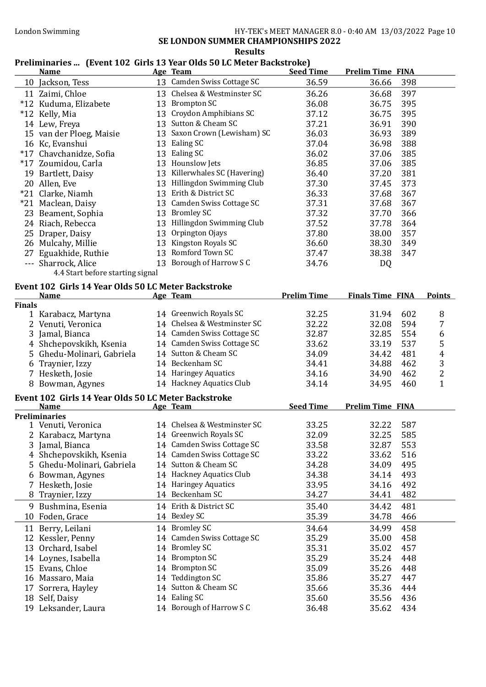#### London Swimming **HY-TEK's MEET MANAGER 8.0 - 0:40 AM 13/03/2022** Page 10

SE LONDON SUMMER CHAMPIONSHIPS 2022 Results

#### Preliminaries ... (Event 102 Girls 13 Year Olds 50 LC Meter Backstroke)

|               | <b>Name</b>                                         | Age Team                                         | <b>Seed Time</b>   | <b>Prelim Time FINA</b> |                  |
|---------------|-----------------------------------------------------|--------------------------------------------------|--------------------|-------------------------|------------------|
|               | 10 Jackson, Tess                                    | 13 Camden Swiss Cottage SC                       | 36.59              | 36.66<br>398            |                  |
|               | 11 Zaimi, Chloe                                     | 13 Chelsea & Westminster SC                      | 36.26              | 397<br>36.68            |                  |
|               | *12 Kuduma, Elizabete                               | 13 Brompton SC                                   | 36.08              | 395<br>36.75            |                  |
|               | *12 Kelly, Mia                                      | 13 Croydon Amphibians SC                         | 37.12              | 395<br>36.75            |                  |
|               | 14 Lew, Freya                                       | 13 Sutton & Cheam SC                             | 37.21              | 390<br>36.91            |                  |
|               | 15 van der Ploeg, Maisie                            | 13 Saxon Crown (Lewisham) SC                     | 36.03              | 36.93<br>389            |                  |
|               | 16 Kc, Evanshui                                     | 13 Ealing SC                                     | 37.04              | 36.98<br>388            |                  |
|               | *17 Chavchanidze, Sofia                             | 13 Ealing SC                                     | 36.02              | 385<br>37.06            |                  |
|               | *17 Zoumidou, Carla                                 | 13 Hounslow Jets                                 | 36.85              | 385<br>37.06            |                  |
|               | 19 Bartlett, Daisy                                  | 13 Killerwhales SC (Havering)                    | 36.40              | 381<br>37.20            |                  |
|               | 20 Allen, Eve                                       | 13 Hillingdon Swimming Club                      | 37.30              | 373<br>37.45            |                  |
|               | *21 Clarke, Niamh                                   | 13 Erith & District SC                           | 36.33              | 367<br>37.68            |                  |
|               | *21 Maclean, Daisy                                  | 13 Camden Swiss Cottage SC                       | 37.31              | 37.68<br>367            |                  |
|               | 23 Beament, Sophia                                  | 13 Bromley SC                                    | 37.32              | 366<br>37.70            |                  |
|               | 24 Riach, Rebecca                                   | 13 Hillingdon Swimming Club                      | 37.52              | 37.78<br>364            |                  |
|               | 25 Draper, Daisy                                    | 13 Orpington Ojays                               | 37.80              | 357<br>38.00            |                  |
|               | 26 Mulcahy, Millie                                  | 13 Kingston Royals SC                            | 36.60              | 38.30<br>349            |                  |
|               | 27 Eguakhide, Ruthie                                | 13 Romford Town SC                               | 37.47              | 38.38<br>347            |                  |
|               | --- Sharrock, Alice                                 | 13 Borough of Harrow S C                         | 34.76              | DQ                      |                  |
|               | 4.4 Start before starting signal                    |                                                  |                    |                         |                  |
|               | Event 102 Girls 14 Year Olds 50 LC Meter Backstroke |                                                  |                    |                         |                  |
|               | <b>Name</b>                                         | Age Team                                         | <b>Prelim Time</b> | <b>Finals Time FINA</b> | <b>Points</b>    |
| <b>Finals</b> |                                                     |                                                  |                    |                         |                  |
|               | 1 Karabacz, Martyna                                 | 14 Greenwich Royals SC                           | 32.25              | 31.94<br>602            | 8                |
|               | 2 Venuti, Veronica                                  | 14 Chelsea & Westminster SC                      | 32.22              | 594<br>32.08            | 7                |
|               | 3 Jamal, Bianca                                     | 14 Camden Swiss Cottage SC                       | 32.87              | 32.85<br>554            | 6                |
|               | 4 Shchepovskikh, Ksenia                             | 14 Camden Swiss Cottage SC                       | 33.62              | 537<br>33.19            | $\sqrt{5}$       |
|               | 5 Ghedu-Molinari, Gabriela                          | 14 Sutton & Cheam SC                             | 34.09              | 34.42<br>481            | $\boldsymbol{4}$ |
|               | 6 Traynier, Izzy                                    | 14 Beckenham SC                                  | 34.41              | 34.88<br>462            | $\sqrt{3}$       |
|               | 7 Hesketh, Josie                                    | 14 Haringey Aquatics                             | 34.16              | 34.90<br>462            | $\overline{2}$   |
|               | 8 Bowman, Agynes                                    | 14 Hackney Aquatics Club                         | 34.14              | 34.95<br>460            | $\mathbf{1}$     |
|               | Event 102 Girls 14 Year Olds 50 LC Meter Backstroke |                                                  |                    |                         |                  |
|               | <b>Name</b>                                         | Age Team                                         | <b>Seed Time</b>   | <b>Prelim Time FINA</b> |                  |
|               | <b>Preliminaries</b>                                |                                                  |                    |                         |                  |
|               | 1 Venuti, Veronica                                  | 14 Chelsea & Westminster SC                      | 33.25              | 587<br>32.22            |                  |
| 2             | Karabacz, Martyna                                   | 14 Greenwich Royals SC                           | 32.09              | 32.25<br>585            |                  |
|               | 3 Jamal, Bianca                                     | 14 Camden Swiss Cottage SC                       | 33.58              | 32.87<br>553            |                  |
| 4             | Shchepovskikh, Ksenia                               | 14 Camden Swiss Cottage SC                       | 33.22              | 33.62<br>516            |                  |
|               | 5 Ghedu-Molinari, Gabriela                          | 14 Sutton & Cheam SC<br>14 Hackney Aquatics Club | 34.28              | 34.09<br>495            |                  |
| 6             | Bowman, Agynes                                      | 14 Haringey Aquatics                             | 34.38              | 34.14<br>493            |                  |
|               | 7 Hesketh, Josie                                    | 14 Beckenham SC                                  | 33.95              | 34.16<br>492            |                  |
| 8             | Traynier, Izzy                                      |                                                  | 34.27              | 482<br>34.41            |                  |
|               | 9 Bushmina, Esenia                                  | 14 Erith & District SC                           | 35.40              | 481<br>34.42            |                  |
| 10            | Foden, Grace                                        | 14 Bexley SC                                     | 35.39              | 34.78<br>466            |                  |
|               | 11 Berry, Leilani                                   | 14 Bromley SC                                    | 34.64              | 34.99<br>458            |                  |
|               | 12 Kessler, Penny                                   | 14 Camden Swiss Cottage SC                       | 35.29              | 35.00<br>458            |                  |
|               | 13 Orchard, Isabel                                  | 14 Bromley SC                                    | 35.31              | 35.02<br>457            |                  |
|               | 14 Loynes, Isabella                                 | 14 Brompton SC                                   | 35.29              | 35.24<br>448            |                  |
|               | 15 Evans, Chloe                                     | 14 Brompton SC                                   | 35.09              | 35.26<br>448            |                  |
|               | 16 Massaro, Maia                                    | 14 Teddington SC                                 | 35.86              | 35.27<br>447            |                  |
|               | 17 Sorrera, Hayley                                  | 14 Sutton & Cheam SC                             | 35.66              | 35.36<br>444            |                  |
|               | 18 Self, Daisy                                      | 14 Ealing SC                                     | 35.60              | 35.56<br>436            |                  |
|               | 19 Leksander, Laura                                 | 14 Borough of Harrow S C                         | 36.48              | 35.62<br>434            |                  |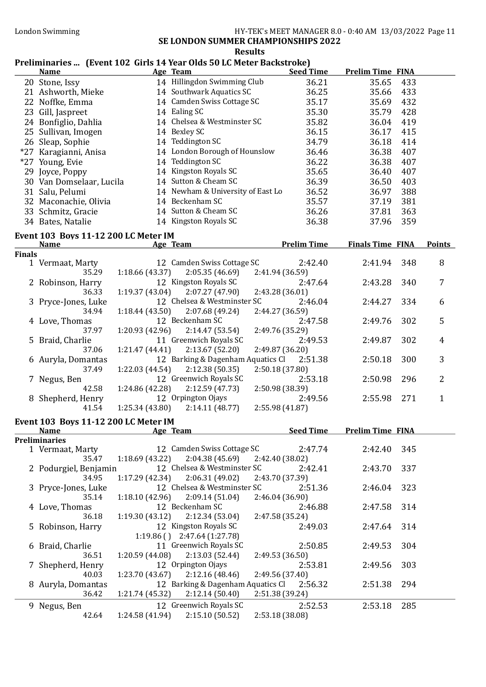London Swimming HY-TEK's MEET MANAGER 8.0 - 0:40 AM 13/03/2022 Page 11

SE LONDON SUMMER CHAMPIONSHIPS 2022 Results

# Preliminaries ... (Event 102 Girls 14 Year Olds 50 LC Meter Backstroke)<br>Name Age Team Seed Time

|               | <b>Name</b>                          |                 | Age Team                                            | <b>Seed Time</b>   | <b>Prelim Time FINA</b> |     |               |
|---------------|--------------------------------------|-----------------|-----------------------------------------------------|--------------------|-------------------------|-----|---------------|
|               | 20 Stone, Issy                       |                 | 14 Hillingdon Swimming Club                         | 36.21              | 35.65                   | 433 |               |
|               | 21 Ashworth, Mieke                   |                 | 14 Southwark Aquatics SC                            | 36.25              | 35.66                   | 433 |               |
|               | 22 Noffke, Emma                      |                 | 14 Camden Swiss Cottage SC                          | 35.17              | 35.69                   | 432 |               |
|               | 23 Gill, Jaspreet                    |                 | 14 Ealing SC                                        | 35.30              | 35.79                   | 428 |               |
|               | 24 Bonfiglio, Dahlia                 |                 | 14 Chelsea & Westminster SC                         | 35.82              | 36.04                   | 419 |               |
|               | 25 Sullivan, Imogen                  |                 | 14 Bexley SC                                        | 36.15              | 36.17                   | 415 |               |
|               | 26 Sleap, Sophie                     |                 | 14 Teddington SC                                    | 34.79              | 36.18                   | 414 |               |
|               | *27 Karagianni, Anisa                |                 | 14 London Borough of Hounslow                       | 36.46              | 36.38                   | 407 |               |
|               | *27 Young, Evie                      |                 | 14 Teddington SC                                    | 36.22              | 36.38                   | 407 |               |
|               | 29 Joyce, Poppy                      |                 | 14 Kingston Royals SC                               | 35.65              | 36.40                   | 407 |               |
|               | 30 Van Domselaar, Lucila             |                 | 14 Sutton & Cheam SC                                | 36.39              | 36.50                   | 403 |               |
|               | 31 Salu, Pelumi                      |                 | 14 Newham & University of East Lo                   | 36.52              | 36.97                   | 388 |               |
|               | 32 Maconachie, Olivia                |                 | 14 Beckenham SC                                     | 35.57              | 37.19                   | 381 |               |
|               | 33 Schmitz, Gracie                   |                 | 14 Sutton & Cheam SC                                | 36.26              | 37.81                   | 363 |               |
|               | 34 Bates, Natalie                    |                 | 14 Kingston Royals SC                               | 36.38              | 37.96                   | 359 |               |
|               |                                      |                 |                                                     |                    |                         |     |               |
|               | Event 103 Boys 11-12 200 LC Meter IM |                 |                                                     |                    |                         |     |               |
|               | <b>Name</b>                          |                 | Age Team                                            | <b>Prelim Time</b> | <b>Finals Time FINA</b> |     | <b>Points</b> |
| <b>Finals</b> |                                      |                 | 12 Camden Swiss Cottage SC                          | 2:42.40            | 2:41.94                 | 348 | 8             |
|               | 1 Vermaat, Marty<br>35.29            | 1:18.66 (43.37) | 2:05.35(46.69)                                      | 2:41.94 (36.59)    |                         |     |               |
|               | 2 Robinson, Harry                    |                 | 12 Kingston Royals SC                               | 2:47.64            | 2:43.28                 | 340 | 7             |
|               | 36.33                                | 1:19.37 (43.04) | 2:07.27 (47.90)                                     | 2:43.28 (36.01)    |                         |     |               |
|               | 3 Pryce-Jones, Luke                  |                 | 12 Chelsea & Westminster SC                         | 2:46.04            | 2:44.27                 | 334 | 6             |
|               | 34.94                                | 1:18.44(43.50)  | 2:07.68 (49.24)                                     | 2:44.27 (36.59)    |                         |     |               |
|               | 4 Love, Thomas                       |                 | 12 Beckenham SC                                     | 2:47.58            | 2:49.76                 | 302 | 5             |
|               | 37.97                                | 1:20.93 (42.96) | 2:14.47(53.54)                                      | 2:49.76 (35.29)    |                         |     |               |
|               | 5 Braid, Charlie                     |                 | 11 Greenwich Royals SC                              | 2:49.53            | 2:49.87                 | 302 | 4             |
|               | 37.06                                | 1:21.47 (44.41) | 2:13.67 (52.20)                                     | 2:49.87 (36.20)    |                         |     |               |
|               | 6 Auryla, Domantas                   |                 | 12 Barking & Dagenham Aquatics Cl                   | 2:51.38            | 2:50.18                 | 300 | 3             |
|               | 37.49                                | 1:22.03(44.54)  | 2:12.38(50.35)                                      | 2:50.18 (37.80)    |                         |     |               |
|               | 7 Negus, Ben                         |                 | 12 Greenwich Royals SC                              | 2:53.18            | 2:50.98                 | 296 | 2             |
|               | 42.58                                | 1:24.86 (42.28) | 2:12.59(47.73)                                      | 2:50.98 (38.39)    |                         |     |               |
|               | 8 Shepherd, Henry                    |                 | 12 Orpington Ojays                                  | 2:49.56            | 2:55.98                 | 271 | $\mathbf{1}$  |
|               | 41.54                                | 1:25.34(43.80)  | 2:14.11(48.77)                                      | 2:55.98(41.87)     |                         |     |               |
|               | Event 103 Boys 11-12 200 LC Meter IM |                 |                                                     |                    |                         |     |               |
|               | <b>Name</b>                          |                 | <b>Age Team</b>                                     | <b>Seed Time</b>   | <b>Prelim Time FINA</b> |     |               |
|               | <b>Preliminaries</b>                 |                 |                                                     |                    |                         |     |               |
|               | 1 Vermaat, Marty                     |                 | 12 Camden Swiss Cottage SC                          | 2:47.74            | 2:42.40                 | 345 |               |
|               | 35.47                                | 1:18.69(43.22)  | 2:04.38 (45.69)                                     | 2:42.40 (38.02)    |                         |     |               |
|               | 2 Podurgiel, Benjamin                |                 | 12 Chelsea & Westminster SC                         | 2:42.41            | 2:43.70                 | 337 |               |
|               | 34.95                                | 1:17.29 (42.34) | 2:06.31(49.02)                                      | 2:43.70 (37.39)    |                         |     |               |
|               | 3 Pryce-Jones, Luke                  |                 | 12 Chelsea & Westminster SC                         | 2:51.36            | 2:46.04                 | 323 |               |
|               | 35.14                                | 1:18.10 (42.96) | 2:09.14(51.04)                                      | 2:46.04 (36.90)    |                         |     |               |
|               | 4 Love, Thomas                       |                 | 12 Beckenham SC                                     | 2:46.88            | 2:47.58                 | 314 |               |
|               | 36.18                                | 1:19.30(43.12)  | 2:12.34(53.04)                                      | 2:47.58 (35.24)    |                         |     |               |
|               | 5 Robinson, Harry                    |                 | 12 Kingston Royals SC                               | 2:49.03            | 2:47.64                 | 314 |               |
|               |                                      |                 | $1:19.86$ () $2:47.64$ (1:27.78)                    |                    |                         |     |               |
|               | 6 Braid, Charlie                     |                 | 11 Greenwich Royals SC                              | 2:50.85            | 2:49.53                 | 304 |               |
|               | 36.51                                | 1:20.59 (44.08) | 2:13.03 (52.44)                                     | 2:49.53 (36.50)    |                         |     |               |
|               | 7 Shepherd, Henry                    |                 | 12 Orpington Ojays                                  | 2:53.81            | 2:49.56                 | 303 |               |
|               | 40.03                                | 1:23.70 (43.67) | 2:12.16(48.46)                                      | 2:49.56 (37.40)    |                         |     |               |
|               | 8 Auryla, Domantas                   |                 | 12 Barking & Dagenham Aquatics Cl<br>2:12.14(50.40) | 2:56.32            | 2:51.38                 | 294 |               |
|               | 36.42                                | 1:21.74 (45.32) |                                                     | 2:51.38 (39.24)    |                         |     |               |
|               | 9 Negus, Ben                         |                 | 12 Greenwich Royals SC                              | 2:52.53            | 2:53.18                 | 285 |               |
|               | 42.64                                | 1:24.58 (41.94) | 2:15.10(50.52)                                      | 2:53.18 (38.08)    |                         |     |               |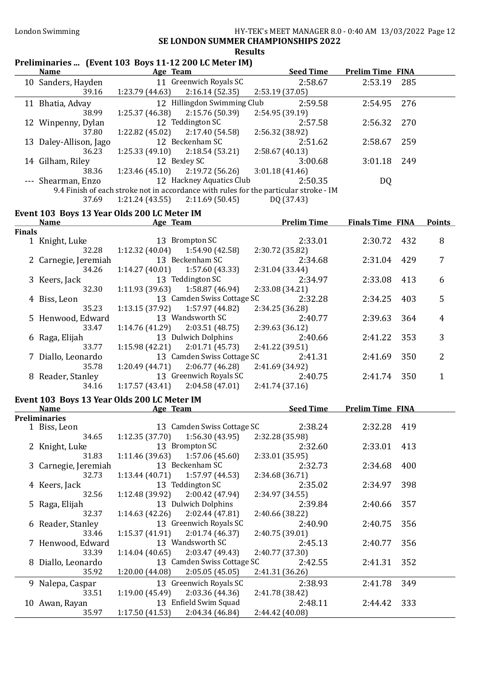#### Results

# Preliminaries ... (Event 103 Boys 11-12 200 LC Meter IM)

| 11 Greenwich Royals SC<br>2:58.67<br>10 Sanders, Hayden<br>2:53.19<br>285<br>39.16<br>1:23.79 (44.63)<br>2:16.14(52.35)<br>2:53.19 (37.05)<br>12 Hillingdon Swimming Club<br>2:59.58<br>276<br>11 Bhatia, Advay<br>2:54.95<br>1:25.37 (46.38)<br>2:15.76 (50.39)<br>38.99<br>2:54.95 (39.19)<br>12 Teddington SC<br>2:57.58<br>270<br>12 Winpenny, Dylan<br>2:56.32<br>1:22.82(45.02)<br>2:17.40 (54.58)<br>37.80<br>2:56.32 (38.92)<br>12 Beckenham SC<br>2:51.62<br>2:58.67<br>13 Daley-Allison, Jago<br>259<br>1:25.33(49.10)<br>2:18.54 (53.21)<br>36.23<br>2:58.67(40.13)<br>12 Bexley SC<br>3:00.68<br>249<br>14 Gilham, Riley<br>3:01.18<br>$1:23.46(45.10)$ $2:19.72(56.26)$<br>3:01.18(41.46)<br>38.36<br>12 Hackney Aquatics Club<br>--- Shearman, Enzo<br>2:50.35<br><b>DQ</b><br>9.4 Finish of each stroke not in accordance with rules for the particular stroke - IM<br>$1:21.24(43.55)$ $2:11.69(50.45)$<br>37.69<br>DQ (37.43)<br>Event 103 Boys 13 Year Olds 200 LC Meter IM<br><b>Prelim Time</b><br><b>Finals Time FINA</b><br><b>Name</b><br>Age Team<br><b>Points</b><br><b>Finals</b><br>2:33.01<br>13 Brompton SC<br>2:30.72<br>8<br>1 Knight, Luke<br>432<br>32.28<br>1:12.32(40.04)<br>1:54.90 (42.58)<br>2:30.72 (35.82)<br>13 Beckenham SC<br>2:34.68<br>2:31.04<br>7<br>2 Carnegie, Jeremiah<br>429<br>1:14.27(40.01)<br>1:57.60 (43.33)<br>34.26<br>2:31.04 (33.44)<br>13 Teddington SC<br>2:34.97<br>2:33.08<br>413<br>6<br>3 Keers, Jack<br>1:11.93(39.63)<br>1:58.87 (46.94)<br>32.30<br>2:33.08 (34.21)<br>13 Camden Swiss Cottage SC<br>5<br>4 Biss, Leon<br>2:32.28<br>2:34.25<br>403<br>1:13.15(37.92)<br>1:57.97 (44.82)<br>35.23<br>2:34.25 (36.28)<br>13 Wandsworth SC<br>5 Henwood, Edward<br>2:40.77<br>2:39.63<br>364<br>4<br>33.47<br>1:14.76(41.29)<br>2:03.51(48.75)<br>2:39.63 (36.12)<br>13 Dulwich Dolphins<br>3<br>2:40.66<br>6 Raga, Elijah<br>2:41.22<br>353<br>2:01.71 (45.73)<br>1:15.98(42.21)<br>2:41.22 (39.51)<br>33.77<br>13 Camden Swiss Cottage SC<br>2<br>2:41.31<br>7 Diallo, Leonardo<br>2:41.69<br>350<br>35.78<br>1:20.49(44.71)<br>2:06.77(46.28)<br>2:41.69 (34.92)<br>13 Greenwich Royals SC<br>8 Reader, Stanley<br>2:40.75<br>$\mathbf{1}$<br>2:41.74<br>350<br>2:04.58 (47.01)<br>1:17.57(43.41)<br>2:41.74(37.16)<br>34.16<br>Event 103 Boys 13 Year Olds 200 LC Meter IM<br><b>Seed Time</b><br><b>Prelim Time FINA</b><br><b>Name</b><br>Age Team<br><b>Preliminaries</b><br>13 Camden Swiss Cottage SC<br>2:38.24<br>2:32.28<br>419<br>1 Biss, Leon<br>34.65   1:12.35 (37.70)<br>2:32.28 (35.98)<br>1:56.30 (43.95)<br>13 Brompton SC<br>2:33.01<br>2 Knight, Luke<br>2:32.60<br>413<br>31.83<br>1:11.46 (39.63)<br>1:57.06 (45.60)<br>2:33.01 (35.95)<br>13 Beckenham SC<br>3 Carnegie, Jeremiah<br>2:32.73<br>2:34.68<br>400<br>32.73<br>1:13.44(40.71)<br>1:57.97 (44.53)<br>2:34.68 (36.71)<br>13 Teddington SC<br>2:35.02<br>2:34.97<br>398<br>4 Keers, Jack<br>32.56<br>1:12.48 (39.92)<br>2:00.42 (47.94)<br>2:34.97 (34.55)<br>13 Dulwich Dolphins<br>2:39.84<br>2:40.66<br>357<br>5 Raga, Elijah<br>32.37<br>1:14.63(42.26)<br>2:02.44 (47.81)<br>2:40.66 (38.22)<br>13 Greenwich Royals SC<br>2:40.90<br>6 Reader, Stanley<br>2:40.75<br>356<br>1:15.37(41.91)<br>2:01.74 (46.37)<br>2:40.75 (39.01)<br>33.46<br>13 Wandsworth SC<br>7 Henwood, Edward<br>2:45.13<br>2:40.77<br>356<br>1:14.04(40.65)<br>2:03.47 (49.43)<br>2:40.77 (37.30)<br>33.39<br>13 Camden Swiss Cottage SC<br>8 Diallo, Leonardo<br>2:42.55<br>2:41.31<br>352<br>35.92<br>1:20.00 (44.08)<br>2:05.05(45.05)<br>2:41.31 (36.26)<br>13 Greenwich Royals SC<br>2:38.93<br>2:41.78<br>349<br>9 Nalepa, Caspar<br>2:03.36 (44.36)<br>1:19.00 (45.49)<br>33.51<br>2:41.78 (38.42)<br>13 Enfield Swim Squad<br>2:48.11<br>333<br>10 Awan, Rayan<br>2:44.42<br>35.97<br>1:17.50(41.53)<br>2:04.34 (46.84)<br>2:44.42 (40.08) | <b>Name</b> | Age Team | <b>Seed Time</b> | <b>Prelim Time FINA</b> |  |
|------------------------------------------------------------------------------------------------------------------------------------------------------------------------------------------------------------------------------------------------------------------------------------------------------------------------------------------------------------------------------------------------------------------------------------------------------------------------------------------------------------------------------------------------------------------------------------------------------------------------------------------------------------------------------------------------------------------------------------------------------------------------------------------------------------------------------------------------------------------------------------------------------------------------------------------------------------------------------------------------------------------------------------------------------------------------------------------------------------------------------------------------------------------------------------------------------------------------------------------------------------------------------------------------------------------------------------------------------------------------------------------------------------------------------------------------------------------------------------------------------------------------------------------------------------------------------------------------------------------------------------------------------------------------------------------------------------------------------------------------------------------------------------------------------------------------------------------------------------------------------------------------------------------------------------------------------------------------------------------------------------------------------------------------------------------------------------------------------------------------------------------------------------------------------------------------------------------------------------------------------------------------------------------------------------------------------------------------------------------------------------------------------------------------------------------------------------------------------------------------------------------------------------------------------------------------------------------------------------------------------------------------------------------------------------------------------------------------------------------------------------------------------------------------------------------------------------------------------------------------------------------------------------------------------------------------------------------------------------------------------------------------------------------------------------------------------------------------------------------------------------------------------------------------------------------------------------------------------------------------------------------------------------------------------------------------------------------------------------------------------------------------------------------------------------------------------------------------------------------------------------------------------------------------------------------------------------------------------------------------------------------------------------------------------------------------------------------------------------------------------------------------------------------------------------------------------------------------------------------------------------|-------------|----------|------------------|-------------------------|--|
|                                                                                                                                                                                                                                                                                                                                                                                                                                                                                                                                                                                                                                                                                                                                                                                                                                                                                                                                                                                                                                                                                                                                                                                                                                                                                                                                                                                                                                                                                                                                                                                                                                                                                                                                                                                                                                                                                                                                                                                                                                                                                                                                                                                                                                                                                                                                                                                                                                                                                                                                                                                                                                                                                                                                                                                                                                                                                                                                                                                                                                                                                                                                                                                                                                                                                                                                                                                                                                                                                                                                                                                                                                                                                                                                                                                                                                                                                    |             |          |                  |                         |  |
|                                                                                                                                                                                                                                                                                                                                                                                                                                                                                                                                                                                                                                                                                                                                                                                                                                                                                                                                                                                                                                                                                                                                                                                                                                                                                                                                                                                                                                                                                                                                                                                                                                                                                                                                                                                                                                                                                                                                                                                                                                                                                                                                                                                                                                                                                                                                                                                                                                                                                                                                                                                                                                                                                                                                                                                                                                                                                                                                                                                                                                                                                                                                                                                                                                                                                                                                                                                                                                                                                                                                                                                                                                                                                                                                                                                                                                                                                    |             |          |                  |                         |  |
|                                                                                                                                                                                                                                                                                                                                                                                                                                                                                                                                                                                                                                                                                                                                                                                                                                                                                                                                                                                                                                                                                                                                                                                                                                                                                                                                                                                                                                                                                                                                                                                                                                                                                                                                                                                                                                                                                                                                                                                                                                                                                                                                                                                                                                                                                                                                                                                                                                                                                                                                                                                                                                                                                                                                                                                                                                                                                                                                                                                                                                                                                                                                                                                                                                                                                                                                                                                                                                                                                                                                                                                                                                                                                                                                                                                                                                                                                    |             |          |                  |                         |  |
|                                                                                                                                                                                                                                                                                                                                                                                                                                                                                                                                                                                                                                                                                                                                                                                                                                                                                                                                                                                                                                                                                                                                                                                                                                                                                                                                                                                                                                                                                                                                                                                                                                                                                                                                                                                                                                                                                                                                                                                                                                                                                                                                                                                                                                                                                                                                                                                                                                                                                                                                                                                                                                                                                                                                                                                                                                                                                                                                                                                                                                                                                                                                                                                                                                                                                                                                                                                                                                                                                                                                                                                                                                                                                                                                                                                                                                                                                    |             |          |                  |                         |  |
|                                                                                                                                                                                                                                                                                                                                                                                                                                                                                                                                                                                                                                                                                                                                                                                                                                                                                                                                                                                                                                                                                                                                                                                                                                                                                                                                                                                                                                                                                                                                                                                                                                                                                                                                                                                                                                                                                                                                                                                                                                                                                                                                                                                                                                                                                                                                                                                                                                                                                                                                                                                                                                                                                                                                                                                                                                                                                                                                                                                                                                                                                                                                                                                                                                                                                                                                                                                                                                                                                                                                                                                                                                                                                                                                                                                                                                                                                    |             |          |                  |                         |  |
|                                                                                                                                                                                                                                                                                                                                                                                                                                                                                                                                                                                                                                                                                                                                                                                                                                                                                                                                                                                                                                                                                                                                                                                                                                                                                                                                                                                                                                                                                                                                                                                                                                                                                                                                                                                                                                                                                                                                                                                                                                                                                                                                                                                                                                                                                                                                                                                                                                                                                                                                                                                                                                                                                                                                                                                                                                                                                                                                                                                                                                                                                                                                                                                                                                                                                                                                                                                                                                                                                                                                                                                                                                                                                                                                                                                                                                                                                    |             |          |                  |                         |  |
|                                                                                                                                                                                                                                                                                                                                                                                                                                                                                                                                                                                                                                                                                                                                                                                                                                                                                                                                                                                                                                                                                                                                                                                                                                                                                                                                                                                                                                                                                                                                                                                                                                                                                                                                                                                                                                                                                                                                                                                                                                                                                                                                                                                                                                                                                                                                                                                                                                                                                                                                                                                                                                                                                                                                                                                                                                                                                                                                                                                                                                                                                                                                                                                                                                                                                                                                                                                                                                                                                                                                                                                                                                                                                                                                                                                                                                                                                    |             |          |                  |                         |  |
|                                                                                                                                                                                                                                                                                                                                                                                                                                                                                                                                                                                                                                                                                                                                                                                                                                                                                                                                                                                                                                                                                                                                                                                                                                                                                                                                                                                                                                                                                                                                                                                                                                                                                                                                                                                                                                                                                                                                                                                                                                                                                                                                                                                                                                                                                                                                                                                                                                                                                                                                                                                                                                                                                                                                                                                                                                                                                                                                                                                                                                                                                                                                                                                                                                                                                                                                                                                                                                                                                                                                                                                                                                                                                                                                                                                                                                                                                    |             |          |                  |                         |  |
|                                                                                                                                                                                                                                                                                                                                                                                                                                                                                                                                                                                                                                                                                                                                                                                                                                                                                                                                                                                                                                                                                                                                                                                                                                                                                                                                                                                                                                                                                                                                                                                                                                                                                                                                                                                                                                                                                                                                                                                                                                                                                                                                                                                                                                                                                                                                                                                                                                                                                                                                                                                                                                                                                                                                                                                                                                                                                                                                                                                                                                                                                                                                                                                                                                                                                                                                                                                                                                                                                                                                                                                                                                                                                                                                                                                                                                                                                    |             |          |                  |                         |  |
|                                                                                                                                                                                                                                                                                                                                                                                                                                                                                                                                                                                                                                                                                                                                                                                                                                                                                                                                                                                                                                                                                                                                                                                                                                                                                                                                                                                                                                                                                                                                                                                                                                                                                                                                                                                                                                                                                                                                                                                                                                                                                                                                                                                                                                                                                                                                                                                                                                                                                                                                                                                                                                                                                                                                                                                                                                                                                                                                                                                                                                                                                                                                                                                                                                                                                                                                                                                                                                                                                                                                                                                                                                                                                                                                                                                                                                                                                    |             |          |                  |                         |  |
|                                                                                                                                                                                                                                                                                                                                                                                                                                                                                                                                                                                                                                                                                                                                                                                                                                                                                                                                                                                                                                                                                                                                                                                                                                                                                                                                                                                                                                                                                                                                                                                                                                                                                                                                                                                                                                                                                                                                                                                                                                                                                                                                                                                                                                                                                                                                                                                                                                                                                                                                                                                                                                                                                                                                                                                                                                                                                                                                                                                                                                                                                                                                                                                                                                                                                                                                                                                                                                                                                                                                                                                                                                                                                                                                                                                                                                                                                    |             |          |                  |                         |  |
|                                                                                                                                                                                                                                                                                                                                                                                                                                                                                                                                                                                                                                                                                                                                                                                                                                                                                                                                                                                                                                                                                                                                                                                                                                                                                                                                                                                                                                                                                                                                                                                                                                                                                                                                                                                                                                                                                                                                                                                                                                                                                                                                                                                                                                                                                                                                                                                                                                                                                                                                                                                                                                                                                                                                                                                                                                                                                                                                                                                                                                                                                                                                                                                                                                                                                                                                                                                                                                                                                                                                                                                                                                                                                                                                                                                                                                                                                    |             |          |                  |                         |  |
|                                                                                                                                                                                                                                                                                                                                                                                                                                                                                                                                                                                                                                                                                                                                                                                                                                                                                                                                                                                                                                                                                                                                                                                                                                                                                                                                                                                                                                                                                                                                                                                                                                                                                                                                                                                                                                                                                                                                                                                                                                                                                                                                                                                                                                                                                                                                                                                                                                                                                                                                                                                                                                                                                                                                                                                                                                                                                                                                                                                                                                                                                                                                                                                                                                                                                                                                                                                                                                                                                                                                                                                                                                                                                                                                                                                                                                                                                    |             |          |                  |                         |  |
|                                                                                                                                                                                                                                                                                                                                                                                                                                                                                                                                                                                                                                                                                                                                                                                                                                                                                                                                                                                                                                                                                                                                                                                                                                                                                                                                                                                                                                                                                                                                                                                                                                                                                                                                                                                                                                                                                                                                                                                                                                                                                                                                                                                                                                                                                                                                                                                                                                                                                                                                                                                                                                                                                                                                                                                                                                                                                                                                                                                                                                                                                                                                                                                                                                                                                                                                                                                                                                                                                                                                                                                                                                                                                                                                                                                                                                                                                    |             |          |                  |                         |  |
|                                                                                                                                                                                                                                                                                                                                                                                                                                                                                                                                                                                                                                                                                                                                                                                                                                                                                                                                                                                                                                                                                                                                                                                                                                                                                                                                                                                                                                                                                                                                                                                                                                                                                                                                                                                                                                                                                                                                                                                                                                                                                                                                                                                                                                                                                                                                                                                                                                                                                                                                                                                                                                                                                                                                                                                                                                                                                                                                                                                                                                                                                                                                                                                                                                                                                                                                                                                                                                                                                                                                                                                                                                                                                                                                                                                                                                                                                    |             |          |                  |                         |  |
|                                                                                                                                                                                                                                                                                                                                                                                                                                                                                                                                                                                                                                                                                                                                                                                                                                                                                                                                                                                                                                                                                                                                                                                                                                                                                                                                                                                                                                                                                                                                                                                                                                                                                                                                                                                                                                                                                                                                                                                                                                                                                                                                                                                                                                                                                                                                                                                                                                                                                                                                                                                                                                                                                                                                                                                                                                                                                                                                                                                                                                                                                                                                                                                                                                                                                                                                                                                                                                                                                                                                                                                                                                                                                                                                                                                                                                                                                    |             |          |                  |                         |  |
|                                                                                                                                                                                                                                                                                                                                                                                                                                                                                                                                                                                                                                                                                                                                                                                                                                                                                                                                                                                                                                                                                                                                                                                                                                                                                                                                                                                                                                                                                                                                                                                                                                                                                                                                                                                                                                                                                                                                                                                                                                                                                                                                                                                                                                                                                                                                                                                                                                                                                                                                                                                                                                                                                                                                                                                                                                                                                                                                                                                                                                                                                                                                                                                                                                                                                                                                                                                                                                                                                                                                                                                                                                                                                                                                                                                                                                                                                    |             |          |                  |                         |  |
|                                                                                                                                                                                                                                                                                                                                                                                                                                                                                                                                                                                                                                                                                                                                                                                                                                                                                                                                                                                                                                                                                                                                                                                                                                                                                                                                                                                                                                                                                                                                                                                                                                                                                                                                                                                                                                                                                                                                                                                                                                                                                                                                                                                                                                                                                                                                                                                                                                                                                                                                                                                                                                                                                                                                                                                                                                                                                                                                                                                                                                                                                                                                                                                                                                                                                                                                                                                                                                                                                                                                                                                                                                                                                                                                                                                                                                                                                    |             |          |                  |                         |  |
|                                                                                                                                                                                                                                                                                                                                                                                                                                                                                                                                                                                                                                                                                                                                                                                                                                                                                                                                                                                                                                                                                                                                                                                                                                                                                                                                                                                                                                                                                                                                                                                                                                                                                                                                                                                                                                                                                                                                                                                                                                                                                                                                                                                                                                                                                                                                                                                                                                                                                                                                                                                                                                                                                                                                                                                                                                                                                                                                                                                                                                                                                                                                                                                                                                                                                                                                                                                                                                                                                                                                                                                                                                                                                                                                                                                                                                                                                    |             |          |                  |                         |  |
|                                                                                                                                                                                                                                                                                                                                                                                                                                                                                                                                                                                                                                                                                                                                                                                                                                                                                                                                                                                                                                                                                                                                                                                                                                                                                                                                                                                                                                                                                                                                                                                                                                                                                                                                                                                                                                                                                                                                                                                                                                                                                                                                                                                                                                                                                                                                                                                                                                                                                                                                                                                                                                                                                                                                                                                                                                                                                                                                                                                                                                                                                                                                                                                                                                                                                                                                                                                                                                                                                                                                                                                                                                                                                                                                                                                                                                                                                    |             |          |                  |                         |  |
|                                                                                                                                                                                                                                                                                                                                                                                                                                                                                                                                                                                                                                                                                                                                                                                                                                                                                                                                                                                                                                                                                                                                                                                                                                                                                                                                                                                                                                                                                                                                                                                                                                                                                                                                                                                                                                                                                                                                                                                                                                                                                                                                                                                                                                                                                                                                                                                                                                                                                                                                                                                                                                                                                                                                                                                                                                                                                                                                                                                                                                                                                                                                                                                                                                                                                                                                                                                                                                                                                                                                                                                                                                                                                                                                                                                                                                                                                    |             |          |                  |                         |  |
|                                                                                                                                                                                                                                                                                                                                                                                                                                                                                                                                                                                                                                                                                                                                                                                                                                                                                                                                                                                                                                                                                                                                                                                                                                                                                                                                                                                                                                                                                                                                                                                                                                                                                                                                                                                                                                                                                                                                                                                                                                                                                                                                                                                                                                                                                                                                                                                                                                                                                                                                                                                                                                                                                                                                                                                                                                                                                                                                                                                                                                                                                                                                                                                                                                                                                                                                                                                                                                                                                                                                                                                                                                                                                                                                                                                                                                                                                    |             |          |                  |                         |  |
|                                                                                                                                                                                                                                                                                                                                                                                                                                                                                                                                                                                                                                                                                                                                                                                                                                                                                                                                                                                                                                                                                                                                                                                                                                                                                                                                                                                                                                                                                                                                                                                                                                                                                                                                                                                                                                                                                                                                                                                                                                                                                                                                                                                                                                                                                                                                                                                                                                                                                                                                                                                                                                                                                                                                                                                                                                                                                                                                                                                                                                                                                                                                                                                                                                                                                                                                                                                                                                                                                                                                                                                                                                                                                                                                                                                                                                                                                    |             |          |                  |                         |  |
|                                                                                                                                                                                                                                                                                                                                                                                                                                                                                                                                                                                                                                                                                                                                                                                                                                                                                                                                                                                                                                                                                                                                                                                                                                                                                                                                                                                                                                                                                                                                                                                                                                                                                                                                                                                                                                                                                                                                                                                                                                                                                                                                                                                                                                                                                                                                                                                                                                                                                                                                                                                                                                                                                                                                                                                                                                                                                                                                                                                                                                                                                                                                                                                                                                                                                                                                                                                                                                                                                                                                                                                                                                                                                                                                                                                                                                                                                    |             |          |                  |                         |  |
|                                                                                                                                                                                                                                                                                                                                                                                                                                                                                                                                                                                                                                                                                                                                                                                                                                                                                                                                                                                                                                                                                                                                                                                                                                                                                                                                                                                                                                                                                                                                                                                                                                                                                                                                                                                                                                                                                                                                                                                                                                                                                                                                                                                                                                                                                                                                                                                                                                                                                                                                                                                                                                                                                                                                                                                                                                                                                                                                                                                                                                                                                                                                                                                                                                                                                                                                                                                                                                                                                                                                                                                                                                                                                                                                                                                                                                                                                    |             |          |                  |                         |  |
|                                                                                                                                                                                                                                                                                                                                                                                                                                                                                                                                                                                                                                                                                                                                                                                                                                                                                                                                                                                                                                                                                                                                                                                                                                                                                                                                                                                                                                                                                                                                                                                                                                                                                                                                                                                                                                                                                                                                                                                                                                                                                                                                                                                                                                                                                                                                                                                                                                                                                                                                                                                                                                                                                                                                                                                                                                                                                                                                                                                                                                                                                                                                                                                                                                                                                                                                                                                                                                                                                                                                                                                                                                                                                                                                                                                                                                                                                    |             |          |                  |                         |  |
|                                                                                                                                                                                                                                                                                                                                                                                                                                                                                                                                                                                                                                                                                                                                                                                                                                                                                                                                                                                                                                                                                                                                                                                                                                                                                                                                                                                                                                                                                                                                                                                                                                                                                                                                                                                                                                                                                                                                                                                                                                                                                                                                                                                                                                                                                                                                                                                                                                                                                                                                                                                                                                                                                                                                                                                                                                                                                                                                                                                                                                                                                                                                                                                                                                                                                                                                                                                                                                                                                                                                                                                                                                                                                                                                                                                                                                                                                    |             |          |                  |                         |  |
|                                                                                                                                                                                                                                                                                                                                                                                                                                                                                                                                                                                                                                                                                                                                                                                                                                                                                                                                                                                                                                                                                                                                                                                                                                                                                                                                                                                                                                                                                                                                                                                                                                                                                                                                                                                                                                                                                                                                                                                                                                                                                                                                                                                                                                                                                                                                                                                                                                                                                                                                                                                                                                                                                                                                                                                                                                                                                                                                                                                                                                                                                                                                                                                                                                                                                                                                                                                                                                                                                                                                                                                                                                                                                                                                                                                                                                                                                    |             |          |                  |                         |  |
|                                                                                                                                                                                                                                                                                                                                                                                                                                                                                                                                                                                                                                                                                                                                                                                                                                                                                                                                                                                                                                                                                                                                                                                                                                                                                                                                                                                                                                                                                                                                                                                                                                                                                                                                                                                                                                                                                                                                                                                                                                                                                                                                                                                                                                                                                                                                                                                                                                                                                                                                                                                                                                                                                                                                                                                                                                                                                                                                                                                                                                                                                                                                                                                                                                                                                                                                                                                                                                                                                                                                                                                                                                                                                                                                                                                                                                                                                    |             |          |                  |                         |  |
|                                                                                                                                                                                                                                                                                                                                                                                                                                                                                                                                                                                                                                                                                                                                                                                                                                                                                                                                                                                                                                                                                                                                                                                                                                                                                                                                                                                                                                                                                                                                                                                                                                                                                                                                                                                                                                                                                                                                                                                                                                                                                                                                                                                                                                                                                                                                                                                                                                                                                                                                                                                                                                                                                                                                                                                                                                                                                                                                                                                                                                                                                                                                                                                                                                                                                                                                                                                                                                                                                                                                                                                                                                                                                                                                                                                                                                                                                    |             |          |                  |                         |  |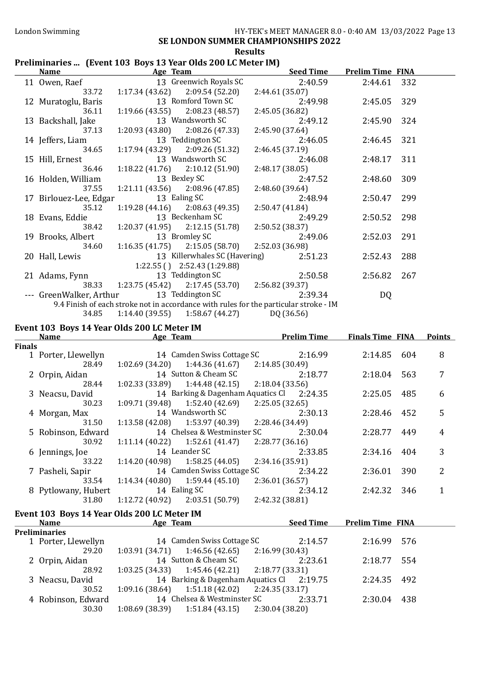# London Swimming HY-TEK's MEET MANAGER 8.0 - 0:40 AM 13/03/2022 Page 13

## SE LONDON SUMMER CHAMPIONSHIPS 2022

#### Results

#### Preliminaries ... (Event 103 Boys 13 Year Olds 200 LC Meter IM)

|               | <b>Name</b>                 | <u>Age Team and the Second Age Team</u>                                                                                           | <b>Seed Time</b>           | <b>Prelim Time FINA</b> |     |               |
|---------------|-----------------------------|-----------------------------------------------------------------------------------------------------------------------------------|----------------------------|-------------------------|-----|---------------|
|               | 11 Owen, Raef               | 13 Greenwich Royals SC                                                                                                            | 2:40.59                    | 2:44.61                 | 332 |               |
|               | 33.72                       | $1:17.34(43.62)$ $2:09.54(52.20)$                                                                                                 | 2:44.61 (35.07)            |                         |     |               |
|               | 12 Muratoglu, Baris         | 13 Romford Town SC                                                                                                                | 2:49.98                    | 2:45.05                 | 329 |               |
|               | 36.11                       | $1:19.66(43.55)$ $2:08.23(48.57)$                                                                                                 | 2:45.05 (36.82)            |                         |     |               |
|               | 13 Backshall, Jake          | 13 Wandsworth SC                                                                                                                  | 2:49.12                    | 2:45.90                 | 324 |               |
|               | 37.13                       | $1:20.93(43.80)$ $2:08.26(47.33)$                                                                                                 | 2:45.90 (37.64)            |                         |     |               |
|               | 14 Jeffers, Liam            | 13 Teddington SC                                                                                                                  | 2:46.05                    | 2:46.45                 | 321 |               |
|               | 34.65                       | $1:17.94(43.29)$ $2:09.26(51.32)$                                                                                                 | 2:46.45 (37.19)            |                         |     |               |
|               | 15 Hill, Ernest             | 13 Wandsworth SC                                                                                                                  | 2:46.08                    | 2:48.17                 | 311 |               |
|               | 36.46                       | $1:18.22(41.76)$ $2:10.12(51.90)$                                                                                                 | 2:48.17 (38.05)            |                         |     |               |
|               | 16 Holden, William          | 13 Bexley SC                                                                                                                      | 2:47.52                    | 2:48.60                 | 309 |               |
|               | 37.55                       | $1:21.11(43.56)$ $2:08.96(47.85)$                                                                                                 | 2:48.60 (39.64)            |                         |     |               |
|               | 17 Birlouez-Lee, Edgar      | 13 Ealing SC                                                                                                                      | 2:48.94                    | 2:50.47                 | 299 |               |
|               | 35.12                       | $1:19.28(44.16)$ $2:08.63(49.35)$                                                                                                 | 2:50.47 (41.84)            |                         |     |               |
|               | 18 Evans, Eddie             | 13 Beckenham SC                                                                                                                   | 2:49.29                    | 2:50.52                 | 298 |               |
|               | 38.42                       | $1:20.37(41.95)$ $2:12.15(51.78)$                                                                                                 | 2:50.52 (38.37)            |                         |     |               |
|               | 19 Brooks, Albert           | 13 Bromley SC                                                                                                                     | 2:49.06                    | 2:52.03                 | 291 |               |
|               | 34.60                       | $1:16.35(41.75)$ $2:15.05(58.70)$                                                                                                 | 2:52.03 (36.98)            |                         |     |               |
|               | 20 Hall, Lewis              | 13 Killerwhales SC (Havering)                                                                                                     | 2:51.23                    | 2:52.43                 | 288 |               |
|               |                             | 1:22.55 () 2:52.43 (1:29.88)                                                                                                      |                            |                         |     |               |
|               | 21 Adams, Fynn              | 13 Teddington SC                                                                                                                  | 2:50.58                    | 2:56.82                 | 267 |               |
|               | 38.33                       | $1:23.75(45.42)$ $2:17.45(53.70)$ $2:56.82(39.37)$                                                                                |                            |                         |     |               |
|               |                             | --- GreenWalker, Arthur 13 Teddington SC<br>9.4 Finish of each stroke not in accordance with rules for the particular stroke - IM | 2:39.34                    | DQ                      |     |               |
|               | 34.85                       | 1:14.40 (39.55) 1:58.67 (44.27) DQ (36.56)                                                                                        |                            |                         |     |               |
|               |                             |                                                                                                                                   |                            |                         |     |               |
|               |                             | Event 103 Boys 14 Year Olds 200 LC Meter IM<br>Name Age Team Prelim Time Finals Time FINA                                         |                            |                         |     |               |
|               |                             |                                                                                                                                   |                            |                         |     |               |
|               |                             |                                                                                                                                   |                            |                         |     |               |
| <b>Finals</b> |                             |                                                                                                                                   |                            |                         |     |               |
|               | 1 Porter, Llewellyn         | 14 Camden Swiss Cottage SC                                                                                                        | 2:16.99                    | 2:14.85                 | 604 | 8             |
|               | 28.49                       | $1:02.69$ (34.20) $1:44.36$ (41.67) $2:14.85$ (30.49)                                                                             |                            |                         |     |               |
|               | 2 Orpin, Aidan              | 14 Sutton & Cheam SC                                                                                                              | 2:18.77                    | 2:18.04                 | 563 | 7             |
|               | 28.44                       | $1:02.33(33.89)$ $1:44.48(42.15)$                                                                                                 | 2:18.04(33.56)             |                         |     |               |
|               | 3 Neacsu, David             | 14 Barking & Dagenham Aquatics Cl 2:24.35                                                                                         |                            | 2:25.05                 | 485 | 6             |
|               | 30.23                       | $1:09.71(39.48)$ $1:52.40(42.69)$                                                                                                 | 2:25.05(32.65)             |                         |     |               |
|               | 4 Morgan, Max<br>31.50      | 14 Wandsworth SC                                                                                                                  | 2:30.13                    | 2:28.46                 | 452 | 5             |
|               |                             | $1:13.58(42.08)$ $1:53.97(40.39)$ $2:28.46(34.49)$                                                                                |                            |                         |     | 4             |
|               | 30.92                       | 5 Robinson, Edward 14 Chelsea & Westminster SC 2:30.04<br>1:52.61 (41.47)<br>1:11.14(40.22)                                       | 2:28.77 (36.16)            | 2:28.77                 | 449 |               |
|               | 6 Jennings, Joe             | 14 Leander SC                                                                                                                     | 2:33.85                    | 2:34.16                 | 404 | 3             |
|               | 33.22                       | 1:58.25(44.05)<br>1:14.20 (40.98)                                                                                                 | 2:34.16 (35.91)            |                         |     |               |
|               | 7 Pasheli, Sapir            | 14 Camden Swiss Cottage SC                                                                                                        | 2:34.22                    | 2:36.01                 | 390 | 2             |
|               | 33.54                       | 1:59.44(45.10)<br>1:14.34(40.80)                                                                                                  | 2:36.01 (36.57)            |                         |     |               |
|               | 8 Pytlowany, Hubert         | 14 Ealing SC                                                                                                                      | 2:34.12                    | 2:42.32                 | 346 | $\mathbf{1}$  |
|               | 31.80                       | 1:12.72 (40.92)<br>2:03.51 (50.79)                                                                                                | 2:42.32 (38.81)            |                         |     |               |
|               |                             |                                                                                                                                   |                            |                         |     | <b>Points</b> |
|               | <b>Name</b>                 | Event 103 Boys 14 Year Olds 200 LC Meter IM<br><b>Age Team</b>                                                                    | <b>Seed Time</b>           | <b>Prelim Time FINA</b> |     |               |
|               | <b>Preliminaries</b>        |                                                                                                                                   |                            |                         |     |               |
|               | 1 Porter, Llewellyn         | 14 Camden Swiss Cottage SC                                                                                                        | 2:14.57                    | 2:16.99                 | 576 |               |
|               | 29.20                       | 1:46.56(42.65)<br>1:03.91(34.71)                                                                                                  | 2:16.99 (30.43)            |                         |     |               |
|               | 2 Orpin, Aidan              | 14 Sutton & Cheam SC                                                                                                              | 2:23.61                    | 2:18.77                 | 554 |               |
|               | 28.92                       | 1:45.46 (42.21)<br>1:03.25(34.33)                                                                                                 | 2:18.77 (33.31)            |                         |     |               |
|               | 3 Neacsu, David             | 14 Barking & Dagenham Aquatics Cl                                                                                                 | 2:19.75                    | 2:24.35                 | 492 |               |
|               | 30.52                       | 1:51.18(42.02)<br>1:09.16 (38.64)                                                                                                 | 2:24.35(33.17)             |                         |     |               |
|               | 4 Robinson, Edward<br>30.30 | 14 Chelsea & Westminster SC<br>1:51.84(43.15)<br>1:08.69(38.39)                                                                   | 2:33.71<br>2:30.04 (38.20) | 2:30.04                 | 438 |               |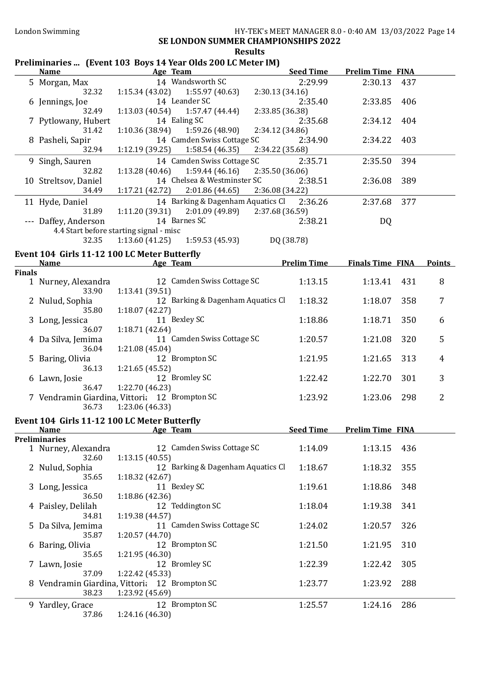# Results

# Preliminaries ... (Event 103 Boys 14 Year Olds 200 LC Meter IM)

|               | <b>Name</b>                                                     |                                    | Age Team                                              |                 | <b>Seed Time</b>   | <b>Prelim Time FINA</b> |     |                |
|---------------|-----------------------------------------------------------------|------------------------------------|-------------------------------------------------------|-----------------|--------------------|-------------------------|-----|----------------|
|               | 5 Morgan, Max<br>32.32                                          |                                    | 14 Wandsworth SC<br>$1:15.34(43.02)$ $1:55.97(40.63)$ | 2:30.13 (34.16) | 2:29.99            | 2:30.13                 | 437 |                |
|               | 6 Jennings, Joe<br>32.49                                        | 1:13.03(40.54)                     | 14 Leander SC<br>1:57.47 (44.44)                      | 2:33.85 (36.38) | 2:35.40            | 2:33.85                 | 406 |                |
|               | 7 Pytlowany, Hubert<br>31.42                                    | 1:10.36(38.94)                     | 14 Ealing SC<br>1:59.26 (48.90)                       | 2:34.12 (34.86) | 2:35.68            | 2:34.12                 | 404 |                |
|               | 8 Pasheli, Sapir<br>32.94                                       | 1:12.19(39.25)                     | 14 Camden Swiss Cottage SC<br>1:58.54(46.35)          | 2:34.22 (35.68) | 2:34.90            | 2:34.22                 | 403 |                |
|               |                                                                 |                                    |                                                       |                 |                    |                         |     |                |
|               | 9 Singh, Sauren<br>32.82                                        | 1:13.28(40.46)                     | 14 Camden Swiss Cottage SC<br>1:59.44(46.16)          | 2:35.50 (36.06) | 2:35.71            | 2:35.50                 | 394 |                |
|               | 10 Streltsov, Daniel<br>34.49                                   | 1:17.21(42.72)                     | 14 Chelsea & Westminster SC<br>2:01.86(44.65)         | 2:36.08 (34.22) | 2:38.51            | 2:36.08                 | 389 |                |
|               | 11 Hyde, Daniel<br>31.89                                        | 1:11.20 (39.31)                    | 14 Barking & Dagenham Aquatics Cl<br>2:01.09 (49.89)  | 2:37.68 (36.59) | 2:36.26            | 2:37.68                 | 377 |                |
|               | --- Daffey, Anderson<br>4.4 Start before starting signal - misc |                                    | 14 Barnes SC                                          |                 | 2:38.21            | DQ                      |     |                |
|               | 32.35                                                           | 1:13.60(41.25)                     | 1:59.53 (45.93)                                       |                 | DQ (38.78)         |                         |     |                |
|               | Event 104 Girls 11-12 100 LC Meter Butterfly                    |                                    |                                                       |                 |                    |                         |     |                |
|               | <b>Name</b>                                                     |                                    | Age Team                                              |                 | <b>Prelim Time</b> | <b>Finals Time FINA</b> |     | <b>Points</b>  |
| <b>Finals</b> | 1 Nurney, Alexandra                                             |                                    | 12 Camden Swiss Cottage SC                            |                 | 1:13.15            | 1:13.41                 | 431 | 8              |
|               | 33.90<br>2 Nulud, Sophia                                        | 1:13.41 (39.51)                    | 12 Barking & Dagenham Aquatics Cl                     |                 | 1:18.32            | 1:18.07                 | 358 | 7              |
|               | 35.80<br>3 Long, Jessica                                        | 1:18.07 (42.27)                    | 11 Bexley SC                                          |                 | 1:18.86            | 1:18.71                 | 350 | 6              |
|               | 36.07<br>4 Da Silva, Jemima                                     | 1:18.71 (42.64)                    | 11 Camden Swiss Cottage SC                            |                 | 1:20.57            | 1:21.08                 | 320 | 5              |
|               | 36.04<br>5 Baring, Olivia                                       | 1:21.08 (45.04)                    | 12 Brompton SC                                        |                 | 1:21.95            | 1:21.65                 | 313 | 4              |
|               | 36.13<br>6 Lawn, Josie                                          | 1:21.65 (45.52)                    | 12 Bromley SC                                         |                 | 1:22.42            | 1:22.70                 | 301 | 3              |
|               | 36.47<br>7 Vendramin Giardina, Vittori; 12 Brompton SC<br>36.73 | 1:22.70 (46.23)<br>1:23.06 (46.33) |                                                       |                 | 1:23.92            | 1:23.06                 | 298 | $\overline{2}$ |
|               | Event 104 Girls 11-12 100 LC Meter Butterfly<br><b>Name</b>     |                                    | Age Team                                              |                 | <b>Seed Time</b>   | <b>Prelim Time FINA</b> |     |                |
|               | <b>Preliminaries</b>                                            |                                    |                                                       |                 |                    |                         |     |                |
|               | 1 Nurney, Alexandra<br>32.60                                    | 1:13.15(40.55)                     | 12 Camden Swiss Cottage SC                            |                 | 1:14.09            | 1:13.15                 | 436 |                |
|               | 2 Nulud, Sophia<br>35.65                                        | 1:18.32(42.67)                     | 12 Barking & Dagenham Aquatics Cl                     |                 | 1:18.67            | 1:18.32                 | 355 |                |
|               | 3 Long, Jessica<br>36.50                                        | 1:18.86 (42.36)                    | 11 Bexley SC                                          |                 | 1:19.61            | 1:18.86                 | 348 |                |
|               | 4 Paisley, Delilah<br>34.81                                     | 1:19.38 (44.57)                    | 12 Teddington SC                                      |                 | 1:18.04            | 1:19.38                 | 341 |                |
| 5.            | Da Silva, Jemima<br>35.87                                       | 1:20.57(44.70)                     | 11 Camden Swiss Cottage SC                            |                 | 1:24.02            | 1:20.57                 | 326 |                |
|               | 6 Baring, Olivia<br>35.65                                       | 1:21.95 (46.30)                    | 12 Brompton SC                                        |                 | 1:21.50            | 1:21.95                 | 310 |                |
|               | 7 Lawn, Josie<br>37.09                                          | 1:22.42 (45.33)                    | 12 Bromley SC                                         |                 | 1:22.39            | 1:22.42                 | 305 |                |
|               | 8 Vendramin Giardina, Vittoria 12 Brompton SC<br>38.23          | 1:23.92 (45.69)                    |                                                       |                 | 1:23.77            | 1:23.92                 | 288 |                |
|               | 9 Yardley, Grace<br>37.86                                       | 1:24.16 (46.30)                    | 12 Brompton SC                                        |                 | 1:25.57            | 1:24.16                 | 286 |                |
|               |                                                                 |                                    |                                                       |                 |                    |                         |     |                |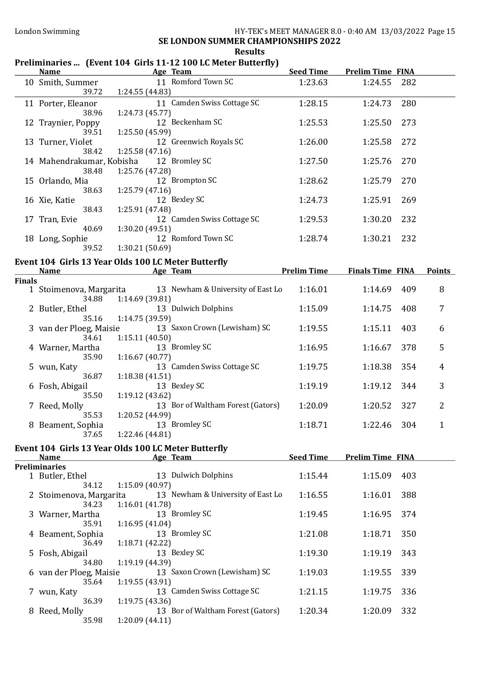#### London Swimming HY-TEK's MEET MANAGER 8.0 - 0:40 AM 13/03/2022 Page 15 SE LONDON SUMMER CHAMPIONSHIPS 2022 Results

### Preliminaries ... (Event 104 Girls 11-12 100 LC Meter Butterfly)

|               | <b>Name</b>                      | <b>Example 2016</b> Age Team                                                        | <b>Seed Time</b> | <b>Prelim Time FINA</b>             |                     |
|---------------|----------------------------------|-------------------------------------------------------------------------------------|------------------|-------------------------------------|---------------------|
|               | 10 Smith, Summer<br>39.72        | 11 Romford Town SC<br>1:24.55 (44.83)                                               | 1:23.63          | 1:24.55                             | 282                 |
|               | 11 Porter, Eleanor<br>38.96      | 11 Camden Swiss Cottage SC<br>1:24.73 (45.77)                                       | 1:28.15          | 1:24.73                             | 280                 |
|               | 12 Traynier, Poppy<br>39.51      | 12 Beckenham SC<br>1:25.50 (45.99)                                                  | 1:25.53          | 1:25.50                             | 273                 |
|               | 13 Turner, Violet<br>38.42       | 12 Greenwich Royals SC<br>1:25.58(47.16)                                            | 1:26.00          | 1:25.58                             | 272                 |
|               | 38.48                            | 14 Mahendrakumar, Kobisha 12 Bromley SC<br>1:25.76 (47.28)                          | 1:27.50          | 1:25.76                             | 270                 |
|               | 15 Orlando, Mia<br>38.63         | 12 Brompton SC<br>1:25.79(47.16)                                                    | 1:28.62          | 1:25.79                             | 270                 |
|               | 16 Xie, Katie<br>38.43           | 12 Bexley SC<br>1:25.91 (47.48)                                                     | 1:24.73          | 1:25.91                             | 269                 |
|               | 17 Tran, Evie<br>40.69           | 12 Camden Swiss Cottage SC<br>1:30.20 (49.51)                                       | 1:29.53          | 1:30.20                             | 232                 |
|               | 18 Long, Sophie<br>39.52         | 12 Romford Town SC<br>1:30.21 (50.69)                                               | 1:28.74          | 232<br>1:30.21                      |                     |
|               | <b>Name</b>                      | Event 104 Girls 13 Year Olds 100 LC Meter Butterfly<br><b>Example 2018</b> Age Team |                  | <b>Prelim Time Finals Time FINA</b> | <b>Points</b>       |
| <b>Finals</b> |                                  |                                                                                     |                  |                                     |                     |
|               |                                  | 1 Stoimenova, Margarita 13 Newham & University of East Lo<br>34.88 1:14.69 (39.81)  | 1:16.01          | 1:14.69                             | 8<br>409            |
|               | 2 Butler, Ethel                  | 13 Dulwich Dolphins<br>35.16 1:14.75 (39.59)                                        | 1:15.09          | 1:14.75                             | 7<br>408            |
|               | 3 van der Ploeg, Maisie<br>34.61 | 13 Saxon Crown (Lewisham) SC<br>1:15.11(40.50)                                      | 1:19.55          | 1:15.11                             | 6<br>403            |
|               | 4 Warner, Martha<br>35.90        | 13 Bromley SC<br>1:16.67(40.77)                                                     | 1:16.95          | 1:16.67                             | 5<br>378            |
|               | 5 wun, Katy<br>36.87             | 13 Camden Swiss Cottage SC<br>1:18.38(41.51)                                        | 1:19.75          | 1:18.38                             | 354<br>4            |
|               | 6 Fosh, Abigail<br>35.50         | 13 Bexley SC<br>1:19.12(43.62)                                                      | 1:19.19          | 1:19.12                             | 3<br>344            |
|               | 7 Reed, Molly<br>35.53           | 13 Bor of Waltham Forest (Gators)<br>1:20.52 (44.99)                                | 1:20.09          | 1:20.52                             | 2<br>327            |
|               | 8 Beament, Sophia                | 13 Bromley SC<br>37.65   1:22.46 (44.81)                                            | 1:18.71          | 1:22.46                             | 304<br>$\mathbf{1}$ |
|               |                                  | Event 104 Girls 13 Year Olds 100 LC Meter Butterfly                                 |                  |                                     |                     |
|               | <b>Name</b>                      | Age Team                                                                            | <b>Seed Time</b> | <b>Prelim Time FINA</b>             |                     |
|               | <b>Preliminaries</b>             |                                                                                     |                  |                                     |                     |
|               | 1 Butler, Ethel<br>34.12         | 13 Dulwich Dolphins<br>1:15.09(40.97)                                               | 1:15.44          | 1:15.09                             | 403                 |
|               | 2 Stoimenova, Margarita<br>34.23 | 13 Newham & University of East Lo<br>1:16.01 (41.78)                                | 1:16.55          | 1:16.01                             | 388                 |
|               | 3 Warner, Martha<br>35.91        | 13 Bromley SC<br>1:16.95(41.04)                                                     | 1:19.45          | 1:16.95                             | 374                 |
|               | 4 Beament, Sophia<br>36.49       | 13 Bromley SC<br>1:18.71 (42.22)                                                    | 1:21.08          | 1:18.71                             | 350                 |
|               | 5 Fosh, Abigail<br>34.80         | 13 Bexley SC<br>1:19.19 (44.39)                                                     | 1:19.30          | 1:19.19                             | 343                 |
|               | 6 van der Ploeg, Maisie<br>35.64 | 13 Saxon Crown (Lewisham) SC<br>1:19.55(43.91)                                      | 1:19.03          | 1:19.55                             | 339                 |
|               | 7 wun, Katy<br>36.39             | 13 Camden Swiss Cottage SC<br>1:19.75(43.36)                                        | 1:21.15          | 1:19.75                             | 336                 |
|               | 8 Reed, Molly<br>35.98           | 13 Bor of Waltham Forest (Gators)<br>1:20.09(44.11)                                 | 1:20.34          | 1:20.09                             | 332                 |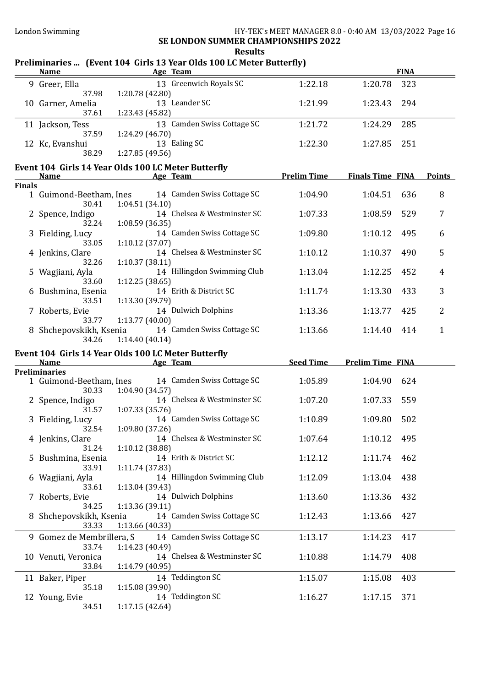Results

#### Name Age Team Age Team FINA 9 Greer, Ella 13 Greenwich Royals SC 1:22.18 1:20.78 323 37.98 1:20.78 (42.80) 10 Garner, Amelia 13 Leander SC 1:21.99 1:23.43 294 37.61 1:23.43 (45.82) 11 Jackson, Tess 13 Camden Swiss Cottage SC 1:21.72 1:24.29 285 37.59 1:24.29 (46.70) 12 Kc, Evanshui 13 Ealing SC 1:22.30 1:27.85 251 38.29 1:27.85 (49.56) Event 104 Girls 14 Year Olds 100 LC Meter Butterfly<br>Name Age Team Prelim Time Finals Time FINA Points Finals 1 Guimond-Beetham, Ines 14 Camden Swiss Cottage SC 1:04.90 1:04.51 636 8<br>30.41 1:04.51 (34.10) 1:04.51 (34.10) 2 Spence, Indigo 14 Chelsea & Westminster SC 1:07.33 1:08.59 529 7 32.24 1:08.59 (36.35)

Preliminaries ... (Event 104 Girls 13 Year Olds 100 LC Meter Butterfly)

| $\epsilon$ opence, marge   | 14 Gilcisca oc Mestininster SG | 1.V/.JJ | 1.VO.JZ | . J 47 |   |
|----------------------------|--------------------------------|---------|---------|--------|---|
| 32.24                      | 1:08.59(36.35)                 |         |         |        |   |
| 3 Fielding, Lucy           | 14 Camden Swiss Cottage SC     | 1:09.80 | 1:10.12 | 495    | 6 |
| 33.05                      | 1:10.12(37.07)                 |         |         |        |   |
| 4 Jenkins, Clare           | 14 Chelsea & Westminster SC    | 1:10.12 | 1:10.37 | 490    | 5 |
| 32.26                      | 1:10.37(38.11)                 |         |         |        |   |
| 5 Wagjiani, Ayla           | 14 Hillingdon Swimming Club    | 1:13.04 | 1:12.25 | 452    | 4 |
| 33.60                      | 1:12.25(38.65)                 |         |         |        |   |
| 6 Bushmina, Esenia         | 14 Erith & District SC         | 1:11.74 | 1:13.30 | 433    | 3 |
| 33.51                      | 1:13.30(39.79)                 |         |         |        |   |
| Roberts, Evie              | 14 Dulwich Dolphins            | 1:13.36 | 1:13.77 | 425    | 2 |
| 33.77                      | 1:13.77(40.00)                 |         |         |        |   |
| Shchepovskikh, Ksenia<br>8 | 14 Camden Swiss Cottage SC     | 1:13.66 | 1:14.40 | 414    |   |
| 34.26                      | 1:14.40(40.14)                 |         |         |        |   |

# Event 104 Girls 14 Year Olds 100 LC Meter Butterfly

| <b>Name</b>          | Age Team                                             | <b>Seed Time</b> | <b>Prelim Time FINA</b> |  |
|----------------------|------------------------------------------------------|------------------|-------------------------|--|
| <b>Preliminaries</b> |                                                      |                  |                         |  |
|                      | 1 Guimond-Beetham, Ines 14 Camden Swiss Cottage SC   | 1:05.89          | 1:04.90<br>624          |  |
| 30.33                | 1:04.90 (34.57)                                      |                  |                         |  |
| 2 Spence, Indigo     | 14 Chelsea & Westminster SC                          | 1:07.20          | 1:07.33<br>559          |  |
| 31.57                | 1:07.33(35.76)                                       |                  |                         |  |
| 3 Fielding, Lucy     | 14 Camden Swiss Cottage SC                           | 1:10.89          | 1:09.80<br>502          |  |
| 32.54                | 1:09.80 (37.26)                                      |                  |                         |  |
| 4 Jenkins, Clare     | 14 Chelsea & Westminster SC                          | 1:07.64          | 1:10.12<br>495          |  |
| 31.24                | 1:10.12(38.88)                                       |                  |                         |  |
| 5 Bushmina, Esenia   | 14 Erith & District SC                               | 1:12.12          | 1:11.74 462             |  |
| 33.91                | 1:11.74(37.83)                                       |                  |                         |  |
| 6 Wagjiani, Ayla     | 14 Hillingdon Swimming Club                          | 1:12.09          | 1:13.04 438             |  |
| 33.61                | 1:13.04(39.43)                                       |                  |                         |  |
| 7 Roberts, Evie      | 14 Dulwich Dolphins                                  | 1:13.60          | 1:13.36 432             |  |
| 34.25                | 1:13.36(39.11)                                       |                  |                         |  |
|                      | 8 Shchepovskikh, Ksenia 14 Camden Swiss Cottage SC   | 1:12.43          | 1:13.66 427             |  |
| 33.33                | 1:13.66 (40.33)                                      |                  |                         |  |
|                      | 9 Gomez de Membrillera, S 14 Camden Swiss Cottage SC | 1:13.17          | 1:14.23<br>417          |  |
| 33.74                | 1:14.23(40.49)                                       |                  |                         |  |
| 10 Venuti, Veronica  | 14 Chelsea & Westminster SC                          | 1:10.88          | 1:14.79<br>408          |  |
| 33.84                | 1:14.79 (40.95)                                      |                  |                         |  |
| 11 Baker, Piper      | 14 Teddington SC                                     | 1:15.07          | 1:15.08<br>403          |  |
| 35.18                | 1:15.08(39.90)                                       |                  |                         |  |
| 12 Young, Evie       | 14 Teddington SC                                     | 1:16.27          | 371<br>1:17.15          |  |
| 34.51                | 1:17.15(42.64)                                       |                  |                         |  |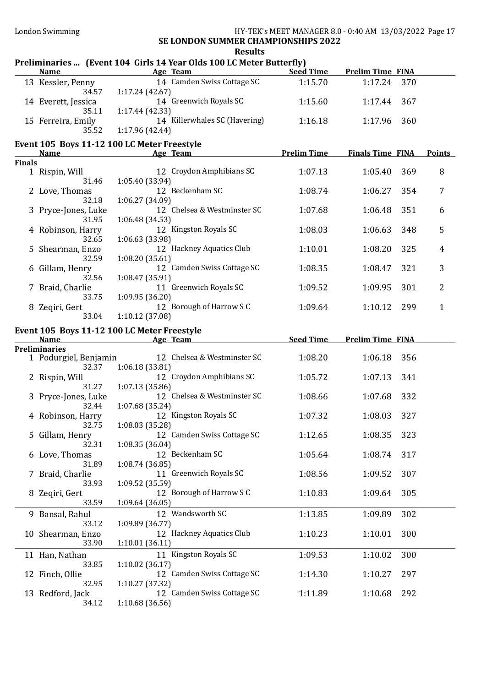# Results<br>ar Olde 100 LC Motor By

|               |                                   | nesults<br>Preliminaries  (Event 104 Girls 14 Year Olds 100 LC Meter Butterfly) |                    |                         |     |                |
|---------------|-----------------------------------|---------------------------------------------------------------------------------|--------------------|-------------------------|-----|----------------|
|               | <b>Name</b>                       | Age Team                                                                        | <b>Seed Time</b>   | <b>Prelim Time FINA</b> |     |                |
|               | 13 Kessler, Penny<br>34.57        | 14 Camden Swiss Cottage SC<br>1:17.24(42.67)                                    | 1:15.70            | 1:17.24                 | 370 |                |
|               | 14 Everett, Jessica<br>35.11      | 14 Greenwich Royals SC<br>1:17.44(42.33)                                        | 1:15.60            | 1:17.44                 | 367 |                |
|               | 15 Ferreira, Emily<br>35.52       | 14 Killerwhales SC (Havering)<br>1:17.96 (42.44)                                | 1:16.18            | 1:17.96                 | 360 |                |
|               | <b>Name</b>                       | Event 105 Boys 11-12 100 LC Meter Freestyle<br>Age Team                         | <b>Prelim Time</b> | <b>Finals Time FINA</b> |     | <b>Points</b>  |
| <b>Finals</b> |                                   |                                                                                 |                    |                         |     |                |
|               | 1 Rispin, Will<br>31.46           | 12 Croydon Amphibians SC<br>1:05.40 (33.94)                                     | 1:07.13            | 1:05.40                 | 369 | 8              |
|               | 2 Love, Thomas<br>32.18           | 12 Beckenham SC<br>1:06.27 (34.09)                                              | 1:08.74            | 1:06.27                 | 354 | 7              |
|               | 3 Pryce-Jones, Luke<br>31.95      | 12 Chelsea & Westminster SC<br>1:06.48(34.53)                                   | 1:07.68            | 1:06.48                 | 351 | 6              |
|               | 4 Robinson, Harry<br>32.65        | 12 Kingston Royals SC<br>1:06.63 (33.98)                                        | 1:08.03            | 1:06.63                 | 348 | 5              |
|               | 5 Shearman, Enzo<br>32.59         | 12 Hackney Aquatics Club<br>1:08.20(35.61)                                      | 1:10.01            | 1:08.20                 | 325 | $\overline{4}$ |
|               | 6 Gillam, Henry<br>32.56          | 12 Camden Swiss Cottage SC<br>1:08.47 (35.91)                                   | 1:08.35            | 1:08.47                 | 321 | 3              |
|               | 7 Braid, Charlie<br>33.75         | 11 Greenwich Royals SC<br>1:09.95 (36.20)                                       | 1:09.52            | 1:09.95                 | 301 | $\overline{2}$ |
|               | 8 Zeqiri, Gert<br>33.04           | 12 Borough of Harrow S C<br>1:10.12 (37.08)                                     | 1:09.64            | 1:10.12                 | 299 | $\mathbf{1}$   |
|               |                                   |                                                                                 |                    |                         |     |                |
|               |                                   |                                                                                 |                    |                         |     |                |
|               | <b>Name</b>                       | Event 105 Boys 11-12 100 LC Meter Freestyle<br>Age Team                         | <b>Seed Time</b>   | <b>Prelim Time FINA</b> |     |                |
|               | <b>Preliminaries</b>              |                                                                                 |                    |                         |     |                |
|               | 1 Podurgiel, Benjamin<br>32.37    | 12 Chelsea & Westminster SC<br>1:06.18(33.81)                                   | 1:08.20            | 1:06.18                 | 356 |                |
|               | 2 Rispin, Will<br>31.27           | 12 Croydon Amphibians SC<br>1:07.13(35.86)                                      | 1:05.72            | 1:07.13                 | 341 |                |
|               | 3 Pryce-Jones, Luke<br>32.44      | 12 Chelsea & Westminster SC<br>1:07.68(35.24)                                   | 1:08.66            | 1:07.68                 | 332 |                |
|               | 4 Robinson, Harry<br>32.75        | 12 Kingston Royals SC                                                           | 1:07.32            | 1:08.03                 | 327 |                |
|               | 5 Gillam, Henry<br>32.31          | 1:08.03 (35.28)<br>12 Camden Swiss Cottage SC                                   | 1:12.65            | 1:08.35                 | 323 |                |
|               | 6 Love, Thomas                    | 1:08.35 (36.04)<br>12 Beckenham SC                                              | 1:05.64            | 1:08.74                 | 317 |                |
|               | 31.89<br>7 Braid, Charlie         | 1:08.74 (36.85)<br>11 Greenwich Royals SC                                       | 1:08.56            | 1:09.52                 | 307 |                |
|               | 33.93<br>8 Zeqiri, Gert           | 1:09.52 (35.59)<br>12 Borough of Harrow S C                                     | 1:10.83            | 1:09.64                 | 305 |                |
|               | 33.59<br>9 Bansal, Rahul          | 1:09.64(36.05)<br>12 Wandsworth SC                                              | 1:13.85            | 1:09.89                 | 302 |                |
|               | 33.12<br>10 Shearman, Enzo        | 1:09.89 (36.77)<br>12 Hackney Aquatics Club                                     | 1:10.23            | 1:10.01                 | 300 |                |
|               | 33.90<br>11 Han, Nathan           | 1:10.01(36.11)<br>11 Kingston Royals SC                                         | 1:09.53            | 1:10.02                 | 300 |                |
|               | 33.85<br>12 Finch, Ollie<br>32.95 | 1:10.02 (36.17)<br>12 Camden Swiss Cottage SC<br>1:10.27 (37.32)                | 1:14.30            | 1:10.27                 | 297 |                |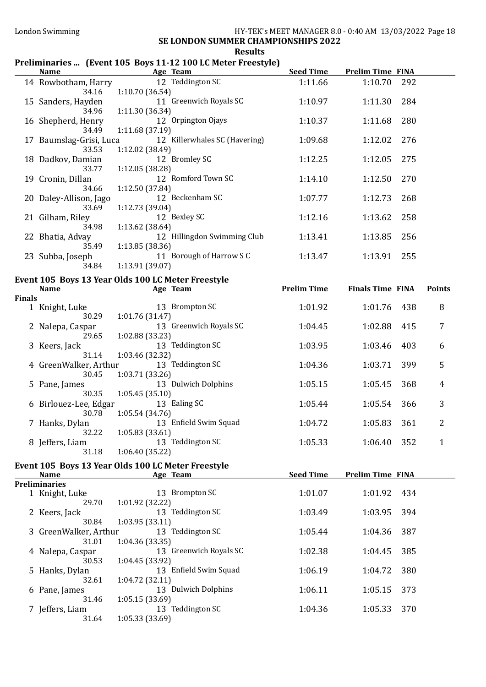#### London Swimming HY-TEK's MEET MANAGER 8.0 - 0:40 AM 13/03/2022 Page 18 SE LONDON SUMMER CHAMPIONSHIPS 2022

Results

# Preliminaries ... (Event 105 Boys 11-12 100 LC Meter Freestyle)

|               | Name and the state of the state of the state of the state of the state of the state of the state of the state of the state of the state of the state of the state of the state of the state of the state of the state of the s | Age Team and the state of the state of the state of the state of the state of the state of the state of the state of the state of the state of the state of the state of the state of the state of the state of the state of t | <b>Seed Time</b> | <b>Prelim Time FINA</b> |     |                |
|---------------|--------------------------------------------------------------------------------------------------------------------------------------------------------------------------------------------------------------------------------|--------------------------------------------------------------------------------------------------------------------------------------------------------------------------------------------------------------------------------|------------------|-------------------------|-----|----------------|
|               |                                                                                                                                                                                                                                | 14 Rowbotham, Harry 12 Teddington SC                                                                                                                                                                                           | 1:11.66          | 1:10.70                 | 292 |                |
|               | 34.16<br>34.96                                                                                                                                                                                                                 | 1:10.70(36.54)<br>15 Sanders, Hayden 11 Greenwich Royals SC<br>1:11.30 (36.34)                                                                                                                                                 | 1:10.97          | 1:11.30                 | 284 |                |
|               | 34.49                                                                                                                                                                                                                          | 16 Shepherd, Henry 12 Orpington Ojays<br>1:11.68 (37.19)                                                                                                                                                                       | 1:10.37          | 1:11.68                 | 280 |                |
|               | 33.53                                                                                                                                                                                                                          | 17 Baumslag-Grisi, Luca 12 Killerwhales SC (Havering)<br>1:12.02 (38.49)                                                                                                                                                       | 1:09.68          | 1:12.02                 | 276 |                |
|               | 18 Dadkov, Damian<br>33.77                                                                                                                                                                                                     | 12 Bromley SC<br>1:12.05 (38.28)                                                                                                                                                                                               | 1:12.25          | 1:12.05                 | 275 |                |
|               | 19 Cronin, Dillan<br>34.66                                                                                                                                                                                                     | 12 Romford Town SC<br>1:12.50 (37.84)                                                                                                                                                                                          | 1:14.10          | 1:12.50                 | 270 |                |
|               | 20 Daley-Allison, Jago<br>33.69                                                                                                                                                                                                | 12 Beckenham SC<br>1:12.73 (39.04)                                                                                                                                                                                             | 1:07.77          | 1:12.73                 | 268 |                |
|               | 21 Gilham, Riley<br>34.98                                                                                                                                                                                                      | 12 Bexley SC<br>1:13.62 (38.64)                                                                                                                                                                                                | 1:12.16          | 1:13.62                 | 258 |                |
|               | 22 Bhatia, Advay<br>35.49                                                                                                                                                                                                      | 12 Hillingdon Swimming Club<br>1:13.85 (38.36)                                                                                                                                                                                 | 1:13.41          | 1:13.85                 | 256 |                |
|               | 23 Subba, Joseph<br>34.84                                                                                                                                                                                                      | 11 Borough of Harrow S C<br>1:13.91 (39.07)                                                                                                                                                                                    | 1:13.47          | 1:13.91                 | 255 |                |
|               |                                                                                                                                                                                                                                | Event 105 Boys 13 Year Olds 100 LC Meter Freestyle                                                                                                                                                                             |                  |                         |     |                |
| <b>Finals</b> |                                                                                                                                                                                                                                | Name <b>Source Age Team</b> Age Team <b>Prelim Time</b> Finals Time FINA                                                                                                                                                       |                  |                         |     | <b>Points</b>  |
|               | 1 Knight, Luke                                                                                                                                                                                                                 | 13 Brompton SC<br>$rac{13}{30.29}$ 1:01.76 (31.47)                                                                                                                                                                             | 1:01.92          | 1:01.76                 | 438 | 8              |
|               | 2 Nalepa, Caspar<br>29.65                                                                                                                                                                                                      | 13 Greenwich Royals SC<br>1:02.88 (33.23)                                                                                                                                                                                      | 1:04.45          | 1:02.88                 | 415 | 7              |
|               | 3 Keers, Jack<br>31.14                                                                                                                                                                                                         | 13 Teddington SC<br>1:03.46 (32.32)                                                                                                                                                                                            | 1:03.95          | 1:03.46                 | 403 | 6              |
|               | 4 GreenWalker, Arthur<br>30.45                                                                                                                                                                                                 | 13 Teddington SC<br>1:03.71 (33.26)                                                                                                                                                                                            | 1:04.36          | 1:03.71                 | 399 | 5              |
|               | 5 Pane, James<br>30.35                                                                                                                                                                                                         | 13 Dulwich Dolphins<br>1:05.45(35.10)                                                                                                                                                                                          | 1:05.15          | 1:05.45                 | 368 | 4              |
|               | 6 Birlouez-Lee, Edgar<br>30.78                                                                                                                                                                                                 | 13 Ealing SC<br>1:05.54 (34.76)                                                                                                                                                                                                | 1:05.44          | 1:05.54                 | 366 | $\mathbf{3}$   |
|               | 7 Hanks, Dylan<br>32.22 1:05.83 (33.61)                                                                                                                                                                                        | 13 Enfield Swim Squad                                                                                                                                                                                                          | 1:04.72          | 1:05.83                 | 361 | $\overline{2}$ |
|               | 8 Jeffers, Liam<br>31.18                                                                                                                                                                                                       | 13 Teddington SC<br>1:06.40 (35.22)                                                                                                                                                                                            | 1:05.33          | 1:06.40                 | 352 | 1              |
|               |                                                                                                                                                                                                                                | Event 105 Boys 13 Year Olds 100 LC Meter Freestyle                                                                                                                                                                             | <b>Seed Time</b> |                         |     |                |
|               | <b>Name</b><br><b>Preliminaries</b>                                                                                                                                                                                            | Age Team                                                                                                                                                                                                                       |                  | <b>Prelim Time FINA</b> |     |                |
|               | 1 Knight, Luke<br>29.70                                                                                                                                                                                                        | 13 Brompton SC<br>1:01.92 (32.22)                                                                                                                                                                                              | 1:01.07          | 1:01.92                 | 434 |                |
|               | 2 Keers, Jack<br>30.84                                                                                                                                                                                                         | 13 Teddington SC<br>1:03.95 (33.11)                                                                                                                                                                                            | 1:03.49          | 1:03.95                 | 394 |                |
|               | 3 GreenWalker, Arthur<br>31.01                                                                                                                                                                                                 | 13 Teddington SC<br>1:04.36 (33.35)                                                                                                                                                                                            | 1:05.44          | 1:04.36                 | 387 |                |
|               | 4 Nalepa, Caspar<br>30.53                                                                                                                                                                                                      | 13 Greenwich Royals SC<br>1:04.45 (33.92)                                                                                                                                                                                      | 1:02.38          | 1:04.45                 | 385 |                |
|               | 5 Hanks, Dylan<br>32.61                                                                                                                                                                                                        | 13 Enfield Swim Squad<br>1:04.72 (32.11)                                                                                                                                                                                       | 1:06.19          | 1:04.72                 | 380 |                |
|               | 6 Pane, James<br>31.46                                                                                                                                                                                                         | 13 Dulwich Dolphins<br>1:05.15 (33.69)                                                                                                                                                                                         | 1:06.11          | 1:05.15                 | 373 |                |
|               | 7 Jeffers, Liam<br>31.64                                                                                                                                                                                                       | 13 Teddington SC<br>1:05.33 (33.69)                                                                                                                                                                                            | 1:04.36          | 1:05.33                 | 370 |                |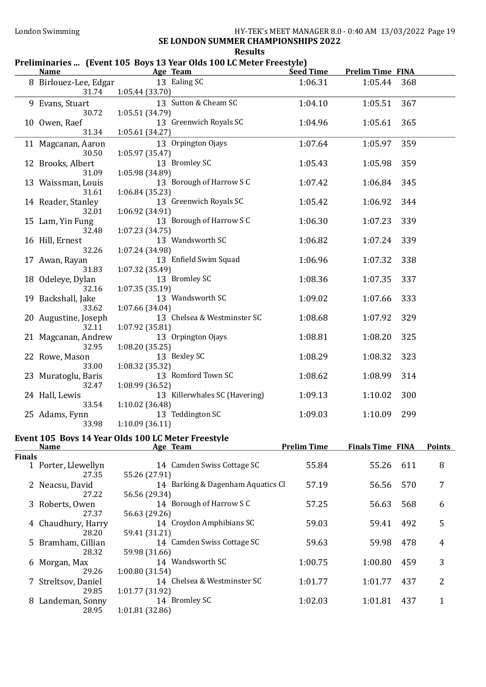#### London Swimming HY-TEK's MEET MANAGER 8.0 - 0:40 AM 13/03/2022 Page 19 SE LONDON SUMMER CHAMPIONSHIPS 2022

Results

# Preliminaries ... (Event 105 Boys 13 Year Olds 100 LC Meter Freestyle)

|               | <b>Name</b>                                                       |                 | Age Team                          | <b>Seed Time</b>   | <b>Prelim Time FINA</b> |     |               |
|---------------|-------------------------------------------------------------------|-----------------|-----------------------------------|--------------------|-------------------------|-----|---------------|
|               | 8 Birlouez-Lee, Edgar<br>31.74                                    | 1:05.44 (33.70) | 13 Ealing SC                      | 1:06.31            | 1:05.44                 | 368 |               |
|               | 9 Evans, Stuart<br>30.72                                          | 1:05.51 (34.79) | 13 Sutton & Cheam SC              | 1:04.10            | 1:05.51                 | 367 |               |
|               | 10 Owen, Raef<br>31.34                                            | 1:05.61(34.27)  | 13 Greenwich Royals SC            | 1:04.96            | 1:05.61                 | 365 |               |
|               | 11 Magcanan, Aaron<br>30.50                                       | 1:05.97(35.47)  | 13 Orpington Ojays                | 1:07.64            | 1:05.97                 | 359 |               |
|               | 12 Brooks, Albert<br>31.09                                        | 1:05.98 (34.89) | 13 Bromley SC                     | 1:05.43            | 1:05.98                 | 359 |               |
|               | 13 Waissman, Louis<br>31.61                                       | 1:06.84(35.23)  | 13 Borough of Harrow S C          | 1:07.42            | 1:06.84                 | 345 |               |
|               | 14 Reader, Stanley<br>32.01                                       | 1:06.92 (34.91) | 13 Greenwich Royals SC            | 1:05.42            | 1:06.92                 | 344 |               |
|               | 15 Lam, Yin Fung<br>32.48                                         | 1:07.23 (34.75) | 13 Borough of Harrow S C          | 1:06.30            | 1:07.23                 | 339 |               |
|               | 16 Hill, Ernest<br>32.26                                          | 1:07.24 (34.98) | 13 Wandsworth SC                  | 1:06.82            | 1:07.24                 | 339 |               |
|               | 17 Awan, Rayan<br>31.83                                           | 1:07.32 (35.49) | 13 Enfield Swim Squad             | 1:06.96            | 1:07.32                 | 338 |               |
|               | 18 Odeleye, Dylan<br>32.16                                        | 1:07.35(35.19)  | 13 Bromley SC                     | 1:08.36            | 1:07.35                 | 337 |               |
|               | 19 Backshall, Jake<br>33.62                                       | 1:07.66 (34.04) | 13 Wandsworth SC                  | 1:09.02            | 1:07.66                 | 333 |               |
|               | 20 Augustine, Joseph<br>32.11                                     | 1:07.92 (35.81) | 13 Chelsea & Westminster SC       | 1:08.68            | 1:07.92                 | 329 |               |
|               | 21 Magcanan, Andrew<br>32.95                                      | 1:08.20(35.25)  | 13 Orpington Ojays                | 1:08.81            | 1:08.20                 | 325 |               |
|               | 22 Rowe, Mason<br>33.00                                           | 1:08.32 (35.32) | 13 Bexley SC                      | 1:08.29            | 1:08.32                 | 323 |               |
|               | 23 Muratoglu, Baris<br>32.47                                      | 1:08.99 (36.52) | 13 Romford Town SC                | 1:08.62            | 1:08.99                 | 314 |               |
|               | 24 Hall, Lewis<br>33.54                                           | 1:10.02(36.48)  | 13 Killerwhales SC (Havering)     | 1:09.13            | 1:10.02                 | 300 |               |
|               | 25 Adams, Fynn<br>33.98                                           | 1:10.09(36.11)  | 13 Teddington SC                  | 1:09.03            | 1:10.09                 | 299 |               |
|               | Event 105 Boys 14 Year Olds 100 LC Meter Freestyle<br><b>Name</b> |                 | Age Team                          | <b>Prelim Time</b> | <b>Finals Time FINA</b> |     | <b>Points</b> |
| <b>Finals</b> |                                                                   |                 |                                   |                    |                         |     |               |
|               | 1 Porter, Llewellyn<br>27.35                                      | 55.26 (27.91)   | 14 Camden Swiss Cottage SC        | 55.84              | 55.26                   | 611 | 8             |
|               | 2 Neacsu, David<br>27.22                                          | 56.56 (29.34)   | 14 Barking & Dagenham Aquatics Cl | 57.19              | 56.56                   | 570 | 7             |
|               | 3 Roberts, Owen<br>27.37                                          | 56.63 (29.26)   | 14 Borough of Harrow S C          | 57.25              | 56.63                   | 568 | 6             |
|               | 4 Chaudhury, Harry<br>28.20                                       | 59.41 (31.21)   | 14 Croydon Amphibians SC          | 59.03              | 59.41                   | 492 | 5             |
|               | 5 Bramham, Cillian<br>28.32                                       | 59.98 (31.66)   | 14 Camden Swiss Cottage SC        | 59.63              | 59.98                   | 478 | 4             |
|               | 6 Morgan, Max<br>29.26                                            | 1:00.80 (31.54) | 14 Wandsworth SC                  | 1:00.75            | 1:00.80                 | 459 | 3             |
|               | 7 Streltsov, Daniel<br>29.85                                      | 1:01.77 (31.92) | 14 Chelsea & Westminster SC       | 1:01.77            | 1:01.77                 | 437 | 2             |
|               | 8 Landeman, Sonny<br>28.95                                        | 1:01.81 (32.86) | 14 Bromley SC                     | 1:02.03            | 1:01.81                 | 437 | $\mathbf{1}$  |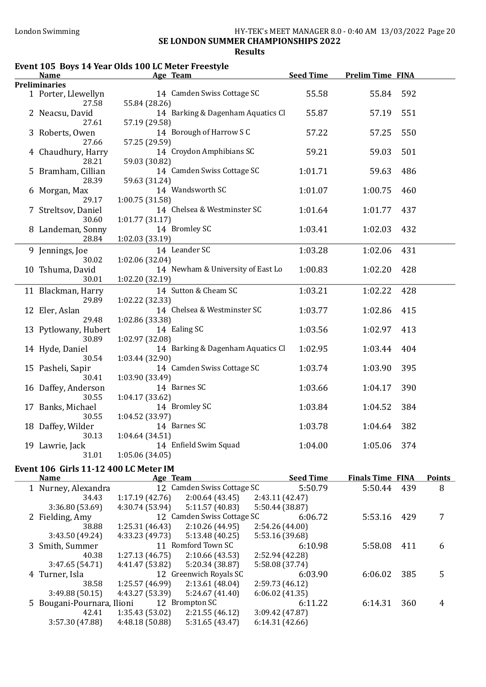#### Results

### Event 105 Boys 14 Year Olds 100 LC Meter Freestyle

|                                                                                         | <b>Name</b>                           | Age Team                                           | <b>Seed Time</b> | <b>Prelim Time FINA</b> |     |  |
|-----------------------------------------------------------------------------------------|---------------------------------------|----------------------------------------------------|------------------|-------------------------|-----|--|
| <b>Preliminaries</b>                                                                    |                                       |                                                    |                  |                         |     |  |
|                                                                                         | 1 Porter, Llewellyn                   | 14 Camden Swiss Cottage SC                         | 55.58            | 55.84                   | 592 |  |
|                                                                                         | 27.58                                 | 55.84 (28.26)<br>14 Barking & Dagenham Aquatics Cl |                  |                         |     |  |
|                                                                                         | 2 Neacsu, David<br>27.61              | 57.19 (29.58)                                      | 55.87            | 57.19                   | 551 |  |
|                                                                                         | 3 Roberts, Owen                       | 14 Borough of Harrow S C                           | 57.22            | 57.25                   | 550 |  |
|                                                                                         | 27.66                                 | 57.25 (29.59)                                      |                  |                         |     |  |
|                                                                                         | 4 Chaudhury, Harry                    | 14 Croydon Amphibians SC                           | 59.21            | 59.03                   | 501 |  |
|                                                                                         | 28.21                                 | 59.03 (30.82)                                      |                  |                         |     |  |
|                                                                                         | 5 Bramham, Cillian                    | 14 Camden Swiss Cottage SC                         | 1:01.71          | 59.63                   | 486 |  |
|                                                                                         | 28.39                                 | 59.63 (31.24)                                      |                  |                         |     |  |
|                                                                                         | 6 Morgan, Max                         | 14 Wandsworth SC                                   | 1:01.07          | 1:00.75                 | 460 |  |
|                                                                                         | 29.17                                 | 1:00.75(31.58)                                     |                  |                         |     |  |
|                                                                                         | 7 Streltsov, Daniel                   | 14 Chelsea & Westminster SC                        | 1:01.64          | 1:01.77                 | 437 |  |
|                                                                                         | 30.60                                 | 1:01.77(31.17)                                     |                  |                         |     |  |
|                                                                                         | 8 Landeman, Sonny                     | 14 Bromley SC                                      | 1:03.41          | 1:02.03                 | 432 |  |
|                                                                                         | 28.84                                 | 1:02.03 (33.19)                                    |                  |                         |     |  |
|                                                                                         | 9 Jennings, Joe                       | 14 Leander SC                                      | 1:03.28          | 1:02.06                 | 431 |  |
|                                                                                         | 30.02                                 | 1:02.06 (32.04)                                    |                  |                         |     |  |
|                                                                                         | 10 Tshuma, David                      | 14 Newham & University of East Lo                  | 1:00.83          | 1:02.20                 | 428 |  |
|                                                                                         | 30.01                                 | 1:02.20 (32.19)                                    |                  |                         |     |  |
|                                                                                         | 11 Blackman, Harry                    | 14 Sutton & Cheam SC                               | 1:03.21          | 1:02.22                 | 428 |  |
|                                                                                         | 29.89                                 | 1:02.22 (32.33)                                    |                  |                         |     |  |
|                                                                                         | 12 Eler, Aslan                        | 14 Chelsea & Westminster SC                        | 1:03.77          | 1:02.86                 | 415 |  |
|                                                                                         | 29.48                                 | 1:02.86 (33.38)                                    |                  |                         |     |  |
|                                                                                         | 13 Pytlowany, Hubert                  | 14 Ealing SC                                       | 1:03.56          | 1:02.97                 | 413 |  |
|                                                                                         | 30.89                                 | 1:02.97 (32.08)                                    |                  |                         |     |  |
|                                                                                         | 14 Hyde, Daniel                       | 14 Barking & Dagenham Aquatics Cl                  | 1:02.95          | 1:03.44                 | 404 |  |
|                                                                                         | 30.54                                 | 1:03.44 (32.90)                                    |                  |                         |     |  |
|                                                                                         | 15 Pasheli, Sapir                     | 14 Camden Swiss Cottage SC                         | 1:03.74          | 1:03.90                 | 395 |  |
|                                                                                         | 30.41                                 | 1:03.90 (33.49)                                    |                  |                         |     |  |
|                                                                                         | 16 Daffey, Anderson                   | 14 Barnes SC                                       | 1:03.66          | 1:04.17                 | 390 |  |
|                                                                                         | 30.55                                 | 1:04.17 (33.62)                                    |                  |                         |     |  |
|                                                                                         | 17 Banks, Michael                     | 14 Bromley SC                                      | 1:03.84          | 1:04.52                 | 384 |  |
|                                                                                         | 30.55                                 | 1:04.52 (33.97)                                    |                  |                         |     |  |
|                                                                                         | 18 Daffey, Wilder                     | 14 Barnes SC                                       | 1:03.78          | 1:04.64                 | 382 |  |
|                                                                                         | 30.13                                 | 1:04.64 (34.51)                                    |                  |                         |     |  |
|                                                                                         | 19 Lawrie, Jack                       | 14 Enfield Swim Squad                              | 1:04.00          | 1:05.06                 | 374 |  |
|                                                                                         | 31.01                                 | 1:05.06(34.05)                                     |                  |                         |     |  |
|                                                                                         | Event 106 Girls 11-12 400 LC Meter IM |                                                    |                  |                         |     |  |
| <b>Seed Time</b><br><b>Finals Time FINA</b><br>Age Team<br><b>Points</b><br><b>Name</b> |                                       |                                                    |                  |                         |     |  |

| лашс |                            | ALC ICAIL                  |                            |                 | <b>SECA THUC</b> | гицанэ гине гичд |     | т онне |
|------|----------------------------|----------------------------|----------------------------|-----------------|------------------|------------------|-----|--------|
|      | 1 Nurney, Alexandra        | 12 Camden Swiss Cottage SC |                            |                 | 5:50.79          | 5:50.44          | 439 | 8      |
|      | 34.43                      | 1:17.19(42.76)             | 2:00.64(43.45)             | 2:43.11(42.47)  |                  |                  |     |        |
|      | 3:36.80(53.69)             | 4:30.74 (53.94)            | 5:11.57(40.83)             | 5:50.44 (38.87) |                  |                  |     |        |
|      | 2 Fielding, Amy            |                            | 12 Camden Swiss Cottage SC |                 | 6:06.72          | 5:53.16          | 429 |        |
|      | 38.88                      | 1:25.31(46.43)             | 2:10.26(44.95)             | 2:54.26(44.00)  |                  |                  |     |        |
|      | 3:43.50 (49.24)            | 4:33.23 (49.73)            | 5:13.48(40.25)             | 5:53.16 (39.68) |                  |                  |     |        |
|      | 3 Smith, Summer            |                            | 11 Romford Town SC         |                 | 6:10.98          | 5:58.08          | 411 | 6      |
|      | 40.38                      | 1:27.13(46.75)             | 2:10.66(43.53)             | 2:52.94 (42.28) |                  |                  |     |        |
|      | 3:47.65(54.71)             | 4:41.47 (53.82)            | 5:20.34 (38.87)            | 5:58.08 (37.74) |                  |                  |     |        |
|      | 4 Turner, Isla             |                            | 12 Greenwich Royals SC     |                 | 6:03.90          | 6:06.02          | 385 | 5      |
|      | 38.58                      | 1:25.57(46.99)             | 2:13.61(48.04)             | 2:59.73(46.12)  |                  |                  |     |        |
|      | 3:49.88(50.15)             | 4:43.27 (53.39)            | 5:24.67(41.40)             | 6:06.02(41.35)  |                  |                  |     |        |
|      | 5 Bougani-Pournara, Ilioni |                            | 12 Brompton SC             |                 | 6:11.22          | 6:14.31          | 360 | 4      |
|      | 42.41                      | 1:35.43(53.02)             | 2:21.55(46.12)             | 3:09.42(47.87)  |                  |                  |     |        |
|      | 3:57.30 (47.88)            | 4:48.18(50.88)             | 5:31.65(43.47)             | 6:14.31(42.66)  |                  |                  |     |        |